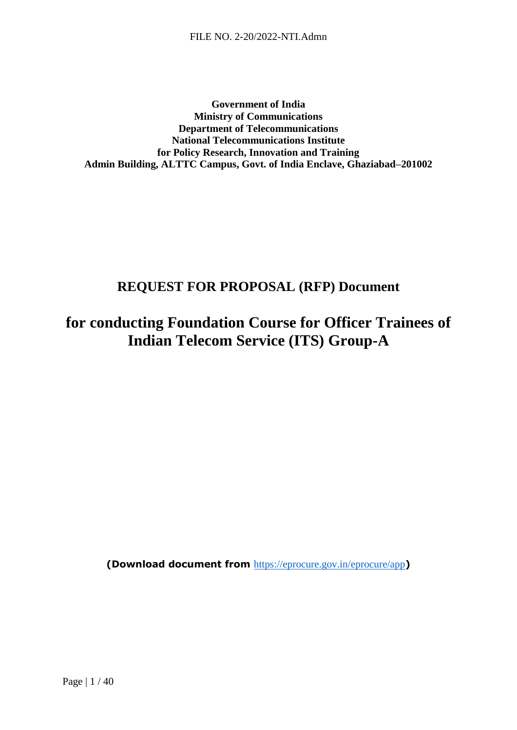**Government of India Ministry of Communications Department of Telecommunications National Telecommunications Institute for Policy Research, Innovation and Training Admin Building, ALTTC Campus, Govt. of India Enclave, Ghaziabad–201002**

### **REQUEST FOR PROPOSAL (RFP) Document**

# <span id="page-0-0"></span>**for conducting Foundation Course for Officer Trainees of Indian Telecom Service (ITS) Group-A**

**(Download document from** <https://eprocure.gov.in/eprocure/app>**)**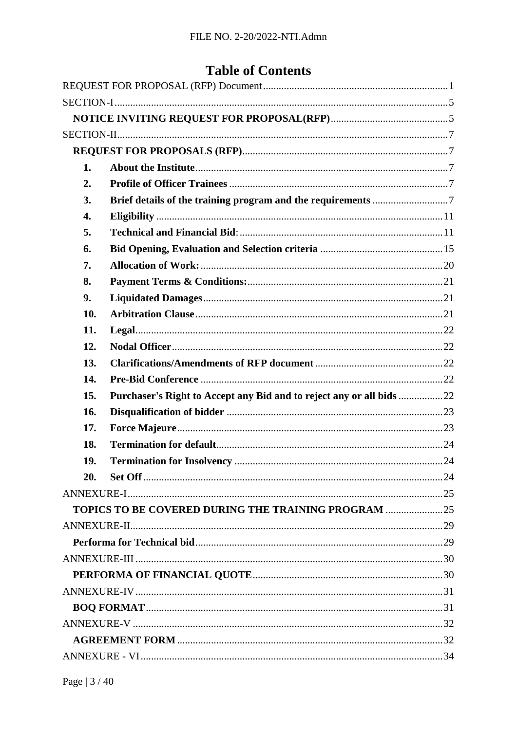## **Table of Contents**

| 1.  |                                                                      |  |
|-----|----------------------------------------------------------------------|--|
| 2.  |                                                                      |  |
| 3.  |                                                                      |  |
| 4.  |                                                                      |  |
| 5.  |                                                                      |  |
| 6.  |                                                                      |  |
| 7.  |                                                                      |  |
| 8.  |                                                                      |  |
| 9.  |                                                                      |  |
| 10. |                                                                      |  |
| 11. |                                                                      |  |
| 12. |                                                                      |  |
| 13. |                                                                      |  |
| 14. |                                                                      |  |
| 15. | Purchaser's Right to Accept any Bid and to reject any or all bids 22 |  |
| 16. |                                                                      |  |
| 17. |                                                                      |  |
| 18. |                                                                      |  |
| 19. |                                                                      |  |
| 20. |                                                                      |  |
|     |                                                                      |  |
|     | TOPICS TO BE COVERED DURING THE TRAINING PROGRAM                     |  |
|     |                                                                      |  |
|     |                                                                      |  |
|     |                                                                      |  |
|     |                                                                      |  |
|     |                                                                      |  |
|     |                                                                      |  |
|     |                                                                      |  |
|     |                                                                      |  |
|     |                                                                      |  |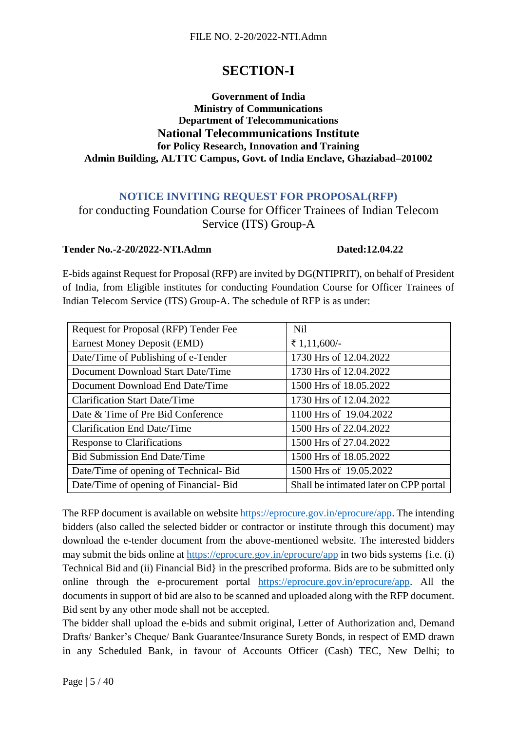### **SECTION-I**

#### <span id="page-4-0"></span>**Government of India Ministry of Communications Department of Telecommunications National Telecommunications Institute for Policy Research, Innovation and Training Admin Building, ALTTC Campus, Govt. of India Enclave, Ghaziabad–201002**

### **NOTICE INVITING REQUEST FOR PROPOSAL(RFP)**

### <span id="page-4-1"></span>for conducting Foundation Course for Officer Trainees of Indian Telecom Service (ITS) Group-A

#### **Tender No.-2-20/2022-NTI.Admn Dated:12.04.22**

E-bids against Request for Proposal (RFP) are invited by DG(NTIPRIT), on behalf of President of India, from Eligible institutes for conducting Foundation Course for Officer Trainees of Indian Telecom Service (ITS) Group-A. The schedule of RFP is as under:

| Request for Proposal (RFP) Tender Fee | Nil                                    |
|---------------------------------------|----------------------------------------|
| <b>Earnest Money Deposit (EMD)</b>    | ₹ 1,11,600/-                           |
| Date/Time of Publishing of e-Tender   | 1730 Hrs of 12.04.2022                 |
| Document Download Start Date/Time     | 1730 Hrs of 12.04.2022                 |
| Document Download End Date/Time       | 1500 Hrs of 18.05.2022                 |
| <b>Clarification Start Date/Time</b>  | 1730 Hrs of 12.04.2022                 |
| Date & Time of Pre Bid Conference     | 1100 Hrs of 19.04.2022                 |
| <b>Clarification End Date/Time</b>    | 1500 Hrs of 22.04.2022                 |
| <b>Response to Clarifications</b>     | 1500 Hrs of 27.04.2022                 |
| <b>Bid Submission End Date/Time</b>   | 1500 Hrs of 18.05.2022                 |
| Date/Time of opening of Technical-Bid | 1500 Hrs of 19.05.2022                 |
| Date/Time of opening of Financial-Bid | Shall be intimated later on CPP portal |

The RFP document is available on websit[e https://eprocure.gov.in/eprocure/app.](https://eprocure.gov.in/eprocure/app) The intending bidders (also called the selected bidder or contractor or institute through this document) may download the e-tender document from the above-mentioned website. The interested bidders may submit the bids online at<https://eprocure.gov.in/eprocure/app> in two bids systems {i.e. (i) Technical Bid and (ii) Financial Bid} in the prescribed proforma. Bids are to be submitted only online through the e-procurement portal [https://eprocure.gov.in/eprocure/app.](https://eprocure.gov.in/eprocure/app) All the documents in support of bid are also to be scanned and uploaded along with the RFP document. Bid sent by any other mode shall not be accepted.

The bidder shall upload the e-bids and submit original, Letter of Authorization and, Demand Drafts/ Banker's Cheque/ Bank Guarantee/Insurance Surety Bonds, in respect of EMD drawn in any Scheduled Bank, in favour of Accounts Officer (Cash) TEC, New Delhi; to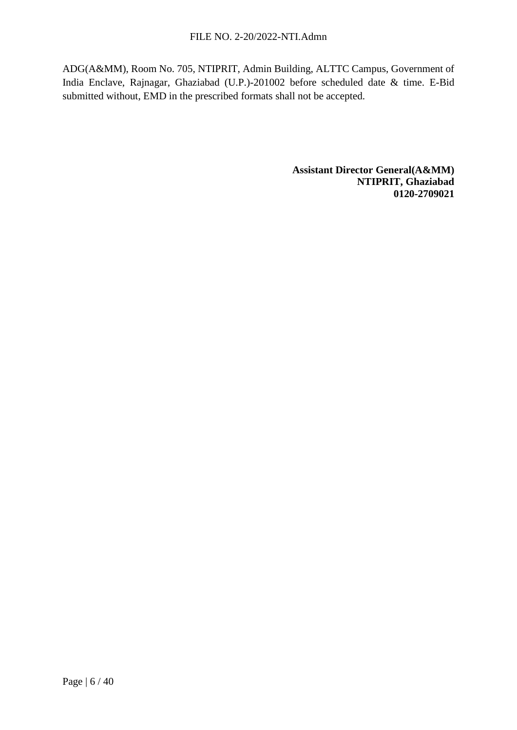ADG(A&MM), Room No. 705, NTIPRIT, Admin Building, ALTTC Campus, Government of India Enclave, Rajnagar, Ghaziabad (U.P.)-201002 before scheduled date & time. E-Bid submitted without, EMD in the prescribed formats shall not be accepted.

> **Assistant Director General(A&MM) NTIPRIT, Ghaziabad 0120-2709021**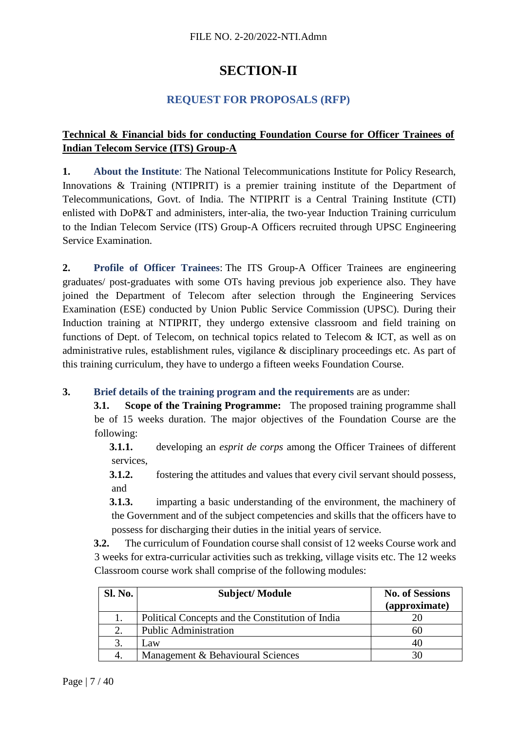### **SECTION-II**

### **REQUEST FOR PROPOSALS (RFP)**

### <span id="page-6-1"></span><span id="page-6-0"></span>**Technical & Financial bids for conducting Foundation Course for Officer Trainees of Indian Telecom Service (ITS) Group-A**

<span id="page-6-2"></span>**1. About the Institute**: The National Telecommunications Institute for Policy Research, Innovations & Training (NTIPRIT) is a premier training institute of the Department of Telecommunications, Govt. of India. The NTIPRIT is a Central Training Institute (CTI) enlisted with DoP&T and administers, inter-alia, the two-year Induction Training curriculum to the Indian Telecom Service (ITS) Group-A Officers recruited through UPSC Engineering Service Examination.

<span id="page-6-3"></span>**2. Profile of Officer Trainees**: The ITS Group-A Officer Trainees are engineering graduates/ post-graduates with some OTs having previous job experience also. They have joined the Department of Telecom after selection through the Engineering Services Examination (ESE) conducted by Union Public Service Commission (UPSC). During their Induction training at NTIPRIT, they undergo extensive classroom and field training on functions of Dept. of Telecom, on technical topics related to Telecom & ICT, as well as on administrative rules, establishment rules, vigilance & disciplinary proceedings etc. As part of this training curriculum, they have to undergo a fifteen weeks Foundation Course.

<span id="page-6-4"></span>**3. Brief details of the training program and the requirements** are as under:

**3.1. Scope of the Training Programme:** The proposed training programme shall be of 15 weeks duration. The major objectives of the Foundation Course are the following:

**3.1.1.** developing an *esprit de corps* among the Officer Trainees of different services,

**3.1.2.** fostering the attitudes and values that every civil servant should possess. and

**3.1.3.** imparting a basic understanding of the environment, the machinery of the Government and of the subject competencies and skills that the officers have to possess for discharging their duties in the initial years of service.

**3.2.** The curriculum of Foundation course shall consist of 12 weeks Course work and 3 weeks for extra-curricular activities such as trekking, village visits etc. The 12 weeks Classroom course work shall comprise of the following modules:

| Sl. No. | <b>Subject/Module</b>                            | <b>No. of Sessions</b><br>(approximate) |
|---------|--------------------------------------------------|-----------------------------------------|
| 1.      | Political Concepts and the Constitution of India | 20                                      |
| 2.      | <b>Public Administration</b>                     | 60                                      |
| 3.      | $\mathcal{L}aw$                                  | 40                                      |
|         | Management & Behavioural Sciences                |                                         |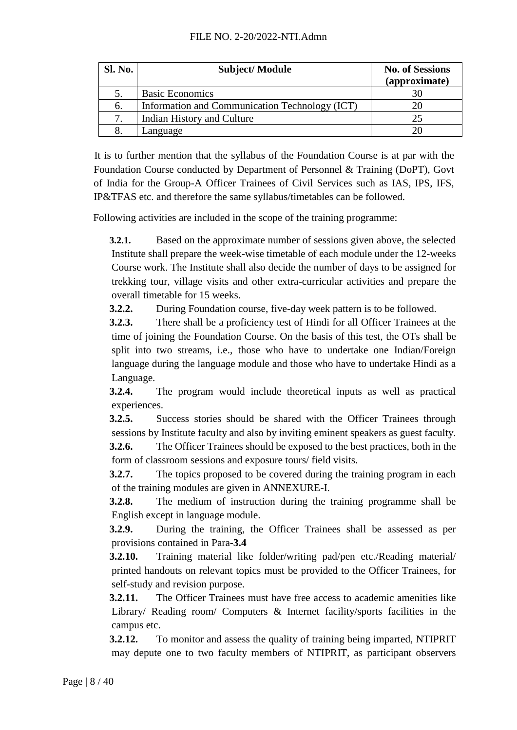| <b>Sl. No.</b> | <b>Subject/Module</b>                          | <b>No. of Sessions</b><br>(approximate) |
|----------------|------------------------------------------------|-----------------------------------------|
| 5.             | <b>Basic Economics</b>                         |                                         |
| 6.             | Information and Communication Technology (ICT) |                                         |
| 7.             | Indian History and Culture                     |                                         |
|                | Language                                       |                                         |

It is to further mention that the syllabus of the Foundation Course is at par with the Foundation Course conducted by Department of Personnel & Training (DoPT), Govt of India for the Group-A Officer Trainees of Civil Services such as IAS, IPS, IFS, IP&TFAS etc. and therefore the same syllabus/timetables can be followed.

Following activities are included in the scope of the training programme:

**3.2.1.** Based on the approximate number of sessions given above, the selected Institute shall prepare the week-wise timetable of each module under the 12-weeks Course work. The Institute shall also decide the number of days to be assigned for trekking tour, village visits and other extra-curricular activities and prepare the overall timetable for 15 weeks.

**3.2.2.** During Foundation course, five-day week pattern is to be followed.

**3.2.3.** There shall be a proficiency test of Hindi for all Officer Trainees at the time of joining the Foundation Course. On the basis of this test, the OTs shall be split into two streams, i.e., those who have to undertake one Indian/Foreign language during the language module and those who have to undertake Hindi as a Language.

**3.2.4.** The program would include theoretical inputs as well as practical experiences.

**3.2.5.** Success stories should be shared with the Officer Trainees through sessions by Institute faculty and also by inviting eminent speakers as guest faculty.

**3.2.6.** The Officer Trainees should be exposed to the best practices, both in the form of classroom sessions and exposure tours/ field visits.

**3.2.7.** The topics proposed to be covered during the training program in each of the training modules are given in [ANNEXURE-I.](#page-24-0)

**3.2.8.** The medium of instruction during the training programme shall be English except in language module.

**3.2.9.** During the training, the Officer Trainees shall be assessed as per provisions contained in Para**[-3.4](#page-8-0)**

**3.2.10.** Training material like folder/writing pad/pen etc./Reading material/ printed handouts on relevant topics must be provided to the Officer Trainees, for self-study and revision purpose.

**3.2.11.** The Officer Trainees must have free access to academic amenities like Library/ Reading room/ Computers & Internet facility/sports facilities in the campus etc.

**3.2.12.** To monitor and assess the quality of training being imparted, NTIPRIT may depute one to two faculty members of NTIPRIT, as participant observers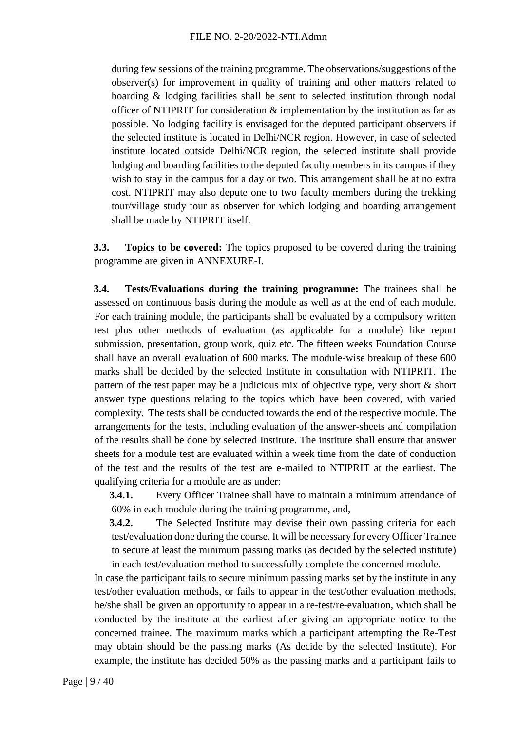during few sessions of the training programme. The observations/suggestions of the observer(s) for improvement in quality of training and other matters related to boarding & lodging facilities shall be sent to selected institution through nodal officer of NTIPRIT for consideration & implementation by the institution as far as possible. No lodging facility is envisaged for the deputed participant observers if the selected institute is located in Delhi/NCR region. However, in case of selected institute located outside Delhi/NCR region, the selected institute shall provide lodging and boarding facilities to the deputed faculty members in its campus if they wish to stay in the campus for a day or two. This arrangement shall be at no extra cost. NTIPRIT may also depute one to two faculty members during the trekking tour/village study tour as observer for which lodging and boarding arrangement shall be made by NTIPRIT itself.

**3.3. Topics to be covered:** The topics proposed to be covered during the training programme are given in [ANNEXURE-I.](#page-24-0)

<span id="page-8-0"></span>**3.4. Tests/Evaluations during the training programme:** The trainees shall be assessed on continuous basis during the module as well as at the end of each module. For each training module, the participants shall be evaluated by a compulsory written test plus other methods of evaluation (as applicable for a module) like report submission, presentation, group work, quiz etc. The fifteen weeks Foundation Course shall have an overall evaluation of 600 marks. The module-wise breakup of these 600 marks shall be decided by the selected Institute in consultation with NTIPRIT. The pattern of the test paper may be a judicious mix of objective type, very short & short answer type questions relating to the topics which have been covered, with varied complexity. The tests shall be conducted towards the end of the respective module. The arrangements for the tests, including evaluation of the answer-sheets and compilation of the results shall be done by selected Institute. The institute shall ensure that answer sheets for a module test are evaluated within a week time from the date of conduction of the test and the results of the test are e-mailed to NTIPRIT at the earliest. The qualifying criteria for a module are as under:

**3.4.1.** Every Officer Trainee shall have to maintain a minimum attendance of 60% in each module during the training programme, and,

**3.4.2.** The Selected Institute may devise their own passing criteria for each test/evaluation done during the course. It will be necessary for every Officer Trainee to secure at least the minimum passing marks (as decided by the selected institute) in each test/evaluation method to successfully complete the concerned module.

In case the participant fails to secure minimum passing marks set by the institute in any test/other evaluation methods, or fails to appear in the test/other evaluation methods, he/she shall be given an opportunity to appear in a re-test/re-evaluation, which shall be conducted by the institute at the earliest after giving an appropriate notice to the concerned trainee. The maximum marks which a participant attempting the Re-Test may obtain should be the passing marks (As decide by the selected Institute). For example, the institute has decided 50% as the passing marks and a participant fails to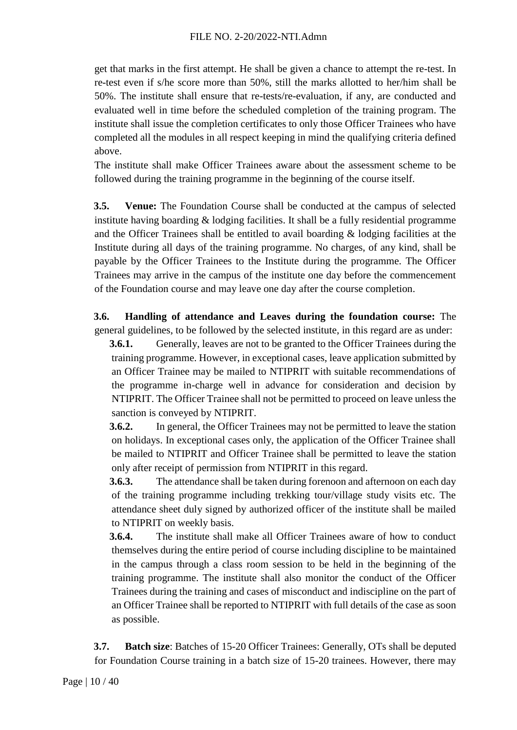get that marks in the first attempt. He shall be given a chance to attempt the re-test. In re-test even if s/he score more than 50%, still the marks allotted to her/him shall be 50%. The institute shall ensure that re-tests/re-evaluation, if any, are conducted and evaluated well in time before the scheduled completion of the training program. The institute shall issue the completion certificates to only those Officer Trainees who have completed all the modules in all respect keeping in mind the qualifying criteria defined above.

The institute shall make Officer Trainees aware about the assessment scheme to be followed during the training programme in the beginning of the course itself.

**3.5. Venue:** The Foundation Course shall be conducted at the campus of selected institute having boarding & lodging facilities. It shall be a fully residential programme and the Officer Trainees shall be entitled to avail boarding  $\&$  lodging facilities at the Institute during all days of the training programme. No charges, of any kind, shall be payable by the Officer Trainees to the Institute during the programme. The Officer Trainees may arrive in the campus of the institute one day before the commencement of the Foundation course and may leave one day after the course completion.

**3.6. Handling of attendance and Leaves during the foundation course:** The general guidelines, to be followed by the selected institute, in this regard are as under:

**3.6.1.** Generally, leaves are not to be granted to the Officer Trainees during the training programme. However, in exceptional cases, leave application submitted by an Officer Trainee may be mailed to NTIPRIT with suitable recommendations of the programme in-charge well in advance for consideration and decision by NTIPRIT. The Officer Trainee shall not be permitted to proceed on leave unless the sanction is conveyed by NTIPRIT.

**3.6.2.** In general, the Officer Trainees may not be permitted to leave the station on holidays. In exceptional cases only, the application of the Officer Trainee shall be mailed to NTIPRIT and Officer Trainee shall be permitted to leave the station only after receipt of permission from NTIPRIT in this regard.

**3.6.3.** The attendance shall be taken during forenoon and afternoon on each day of the training programme including trekking tour/village study visits etc. The attendance sheet duly signed by authorized officer of the institute shall be mailed to NTIPRIT on weekly basis.

**3.6.4.** The institute shall make all Officer Trainees aware of how to conduct themselves during the entire period of course including discipline to be maintained in the campus through a class room session to be held in the beginning of the training programme. The institute shall also monitor the conduct of the Officer Trainees during the training and cases of misconduct and indiscipline on the part of an Officer Trainee shall be reported to NTIPRIT with full details of the case as soon as possible.

**3.7. Batch size**: Batches of 15-20 Officer Trainees: Generally, OTs shall be deputed for Foundation Course training in a batch size of 15-20 trainees. However, there may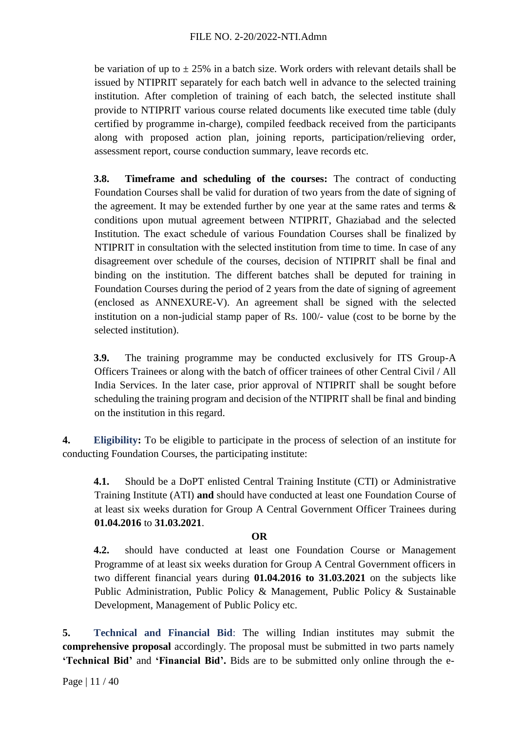be variation of up to  $\pm 25\%$  in a batch size. Work orders with relevant details shall be issued by NTIPRIT separately for each batch well in advance to the selected training institution. After completion of training of each batch, the selected institute shall provide to NTIPRIT various course related documents like executed time table (duly certified by programme in-charge), compiled feedback received from the participants along with proposed action plan, joining reports, participation/relieving order, assessment report, course conduction summary, leave records etc.

**3.8. Timeframe and scheduling of the courses:** The contract of conducting Foundation Courses shall be valid for duration of two years from the date of signing of the agreement. It may be extended further by one year at the same rates and terms & conditions upon mutual agreement between NTIPRIT, Ghaziabad and the selected Institution. The exact schedule of various Foundation Courses shall be finalized by NTIPRIT in consultation with the selected institution from time to time. In case of any disagreement over schedule of the courses, decision of NTIPRIT shall be final and binding on the institution. The different batches shall be deputed for training in Foundation Courses during the period of 2 years from the date of signing of agreement (enclosed as [ANNEXURE-V\)](#page-31-0). An agreement shall be signed with the selected institution on a non-judicial stamp paper of Rs. 100/- value (cost to be borne by the selected institution).

**3.9.** The training programme may be conducted exclusively for ITS Group-A Officers Trainees or along with the batch of officer trainees of other Central Civil / All India Services. In the later case, prior approval of NTIPRIT shall be sought before scheduling the training program and decision of the NTIPRIT shall be final and binding on the institution in this regard.

<span id="page-10-0"></span>**4. Eligibility:** To be eligible to participate in the process of selection of an institute for conducting Foundation Courses, the participating institute:

**4.1.** Should be a DoPT enlisted Central Training Institute (CTI) or Administrative Training Institute (ATI) **and** should have conducted at least one Foundation Course of at least six weeks duration for Group A Central Government Officer Trainees during **01.04.2016** to **31.03.2021**.

#### **OR**

**4.2.** should have conducted at least one Foundation Course or Management Programme of at least six weeks duration for Group A Central Government officers in two different financial years during **01.04.2016 to 31.03.2021** on the subjects like Public Administration, Public Policy & Management, Public Policy & Sustainable Development, Management of Public Policy etc.

<span id="page-10-1"></span>**5. Technical and Financial Bid**: The willing Indian institutes may submit the **comprehensive proposal** accordingly. The proposal must be submitted in two parts namely **'Technical Bid'** and **'Financial Bid'.** Bids are to be submitted only online through the e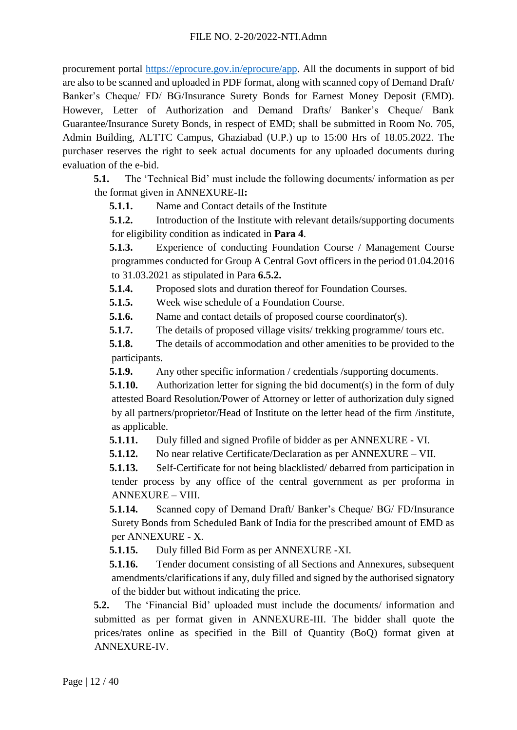procurement portal [https://eprocure.gov.in/eprocure/app.](https://eprocure.gov.in/eprocure/app) All the documents in support of bid are also to be scanned and uploaded in PDF format, along with scanned copy of Demand Draft/ Banker's Cheque/ FD/ BG/Insurance Surety Bonds for Earnest Money Deposit (EMD). However, Letter of Authorization and Demand Drafts/ Banker's Cheque/ Bank Guarantee/Insurance Surety Bonds, in respect of EMD; shall be submitted in Room No. 705, Admin Building, ALTTC Campus, Ghaziabad (U.P.) up to 15:00 Hrs of 18.05.2022. The purchaser reserves the right to seek actual documents for any uploaded documents during evaluation of the e-bid.

**5.1.** The 'Technical Bid' must include the following documents/ information as per the format given in [ANNEXURE-II](#page-28-0)**:**

**5.1.1.** Name and Contact details of the Institute

**5.1.2.** Introduction of the Institute with relevant details/supporting documents for eligibility condition as indicated in **Para [4](#page-10-0)**.

**5.1.3.** Experience of conducting Foundation Course / Management Course programmes conducted for Group A Central Govt officers in the period 01.04.2016 to 31.03.2021 as stipulated in Para **[6.5.2.](#page-17-0)**

**5.1.4.** Proposed slots and duration thereof for Foundation Courses.

**5.1.5.** Week wise schedule of a Foundation Course.

**5.1.6.** Name and contact details of proposed course coordinator(s).

**5.1.7.** The details of proposed village visits/ trekking programme/ tours etc.

**5.1.8.** The details of accommodation and other amenities to be provided to the participants.

**5.1.9.** Any other specific information / credentials /supporting documents.

**5.1.10.** Authorization letter for signing the bid document(s) in the form of duly attested Board Resolution/Power of Attorney or letter of authorization duly signed by all partners/proprietor/Head of Institute on the letter head of the firm /institute, as applicable.

**5.1.11.** Duly filled and signed Profile of bidder as per [ANNEXURE -](#page-33-0) VI.

**5.1.12.** No near relative Certificate/Declaration as per [ANNEXURE –](#page-34-0) VII.

**5.1.13.** Self-Certificate for not being blacklisted/ debarred from participation in tender process by any office of the central government as per proforma in [ANNEXURE –](#page-35-0) VIII.

**5.1.14.** Scanned copy of Demand Draft/ Banker's Cheque/ BG/ FD/Insurance Surety Bonds from Scheduled Bank of India for the prescribed amount of EMD as per [ANNEXURE -](#page-38-0) X.

**5.1.15.** Duly filled Bid Form as per [ANNEXURE -XI.](#page-39-0)

**5.1.16.** Tender document consisting of all Sections and Annexures, subsequent amendments/clarifications if any, duly filled and signed by the authorised signatory of the bidder but without indicating the price.

**5.2.** The 'Financial Bid' uploaded must include the documents/ information and submitted as per format given in [ANNEXURE-III.](#page-29-0) The bidder shall quote the prices/rates online as specified in the Bill of Quantity (BoQ) format given at [ANNEXURE-IV.](#page-30-0)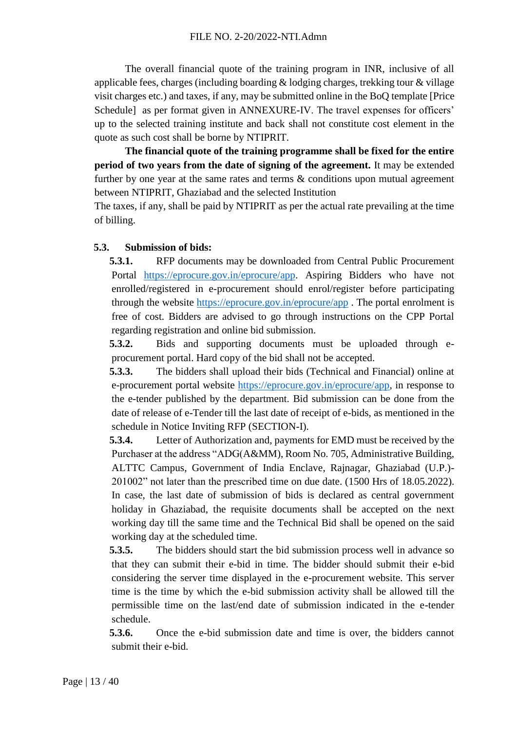The overall financial quote of the training program in INR, inclusive of all applicable fees, charges (including boarding & lodging charges, trekking tour & village visit charges etc.) and taxes, if any, may be submitted online in the BoQ template [Price Schedule] as per format given in [ANNEXURE-IV.](#page-30-0) The travel expenses for officers' up to the selected training institute and back shall not constitute cost element in the quote as such cost shall be borne by NTIPRIT.

**The financial quote of the training programme shall be fixed for the entire period of two years from the date of signing of the agreement.** It may be extended further by one year at the same rates and terms  $\&$  conditions upon mutual agreement between NTIPRIT, Ghaziabad and the selected Institution

The taxes, if any, shall be paid by NTIPRIT as per the actual rate prevailing at the time of billing.

#### **5.3. Submission of bids:**

**5.3.1.** RFP documents may be downloaded from Central Public Procurement Portal [https://eprocure.gov.in/eprocure/app.](https://eprocure.gov.in/eprocure/app) Aspiring Bidders who have not enrolled/registered in e-procurement should enrol/register before participating through the website<https://eprocure.gov.in/eprocure/app> . The portal enrolment is free of cost. Bidders are advised to go through instructions on the CPP Portal regarding registration and online bid submission.

**5.3.2.** Bids and supporting documents must be uploaded through eprocurement portal. Hard copy of the bid shall not be accepted.

**5.3.3.** The bidders shall upload their bids (Technical and Financial) online at e-procurement portal website [https://eprocure.gov.in/eprocure/app,](https://eprocure.gov.in/eprocure/app) in response to the e-tender published by the department. Bid submission can be done from the date of release of e-Tender till the last date of receipt of e-bids, as mentioned in the schedule in Notice Inviting RFP [\(SECTION-I\)](#page-4-0).

**5.3.4.** Letter of Authorization and, payments for EMD must be received by the Purchaser at the address "ADG(A&MM), Room No. 705, Administrative Building, ALTTC Campus, Government of India Enclave, Rajnagar, Ghaziabad (U.P.)- 201002" not later than the prescribed time on due date. (1500 Hrs of 18.05.2022). In case, the last date of submission of bids is declared as central government holiday in Ghaziabad, the requisite documents shall be accepted on the next working day till the same time and the Technical Bid shall be opened on the said working day at the scheduled time.

**5.3.5.** The bidders should start the bid submission process well in advance so that they can submit their e-bid in time. The bidder should submit their e-bid considering the server time displayed in the e-procurement website. This server time is the time by which the e-bid submission activity shall be allowed till the permissible time on the last/end date of submission indicated in the e-tender schedule.

**5.3.6.** Once the e-bid submission date and time is over, the bidders cannot submit their e-bid.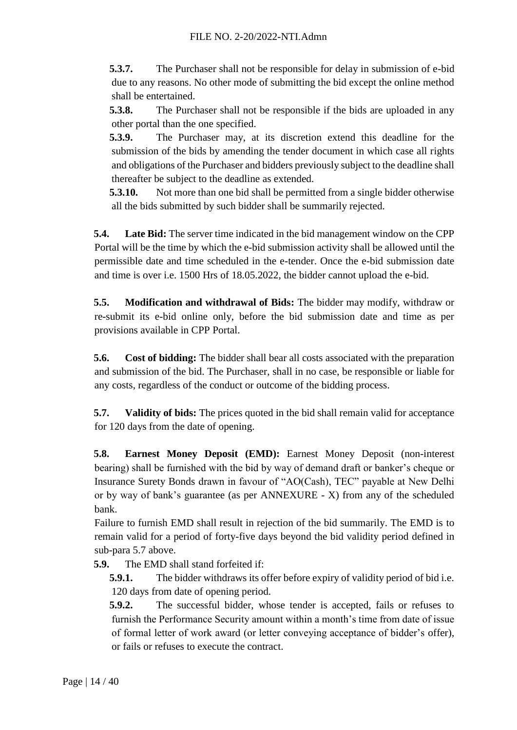**5.3.7.** The Purchaser shall not be responsible for delay in submission of e-bid due to any reasons. No other mode of submitting the bid except the online method shall be entertained.

**5.3.8.** The Purchaser shall not be responsible if the bids are uploaded in any other portal than the one specified.

**5.3.9.** The Purchaser may, at its discretion extend this deadline for the submission of the bids by amending the tender document in which case all rights and obligations of the Purchaser and bidders previously subject to the deadline shall thereafter be subject to the deadline as extended.

**5.3.10.** Not more than one bid shall be permitted from a single bidder otherwise all the bids submitted by such bidder shall be summarily rejected.

**5.4. Late Bid:** The server time indicated in the bid management window on the CPP Portal will be the time by which the e-bid submission activity shall be allowed until the permissible date and time scheduled in the e-tender. Once the e-bid submission date and time is over i.e. 1500 Hrs of 18.05.2022, the bidder cannot upload the e-bid.

**5.5. Modification and withdrawal of Bids:** The bidder may modify, withdraw or re-submit its e-bid online only, before the bid submission date and time as per provisions available in CPP Portal.

**5.6. Cost of bidding:** The bidder shall bear all costs associated with the preparation and submission of the bid. The Purchaser, shall in no case, be responsible or liable for any costs, regardless of the conduct or outcome of the bidding process.

**5.7. Validity of bids:** The prices quoted in the bid shall remain valid for acceptance for 120 days from the date of opening.

**5.8. Earnest Money Deposit (EMD):** Earnest Money Deposit (non-interest bearing) shall be furnished with the bid by way of demand draft or banker's cheque or Insurance Surety Bonds drawn in favour of "AO(Cash), TEC" payable at New Delhi or by way of bank's guarantee (as per [ANNEXURE -](#page-38-0) X) from any of the scheduled bank.

Failure to furnish EMD shall result in rejection of the bid summarily. The EMD is to remain valid for a period of forty-five days beyond the bid validity period defined in sub-para 5.7 above.

**5.9.** The EMD shall stand forfeited if:

**5.9.1.** The bidder withdraws its offer before expiry of validity period of bid i.e. 120 days from date of opening period.

**5.9.2.** The successful bidder, whose tender is accepted, fails or refuses to furnish the Performance Security amount within a month's time from date of issue of formal letter of work award (or letter conveying acceptance of bidder's offer), or fails or refuses to execute the contract.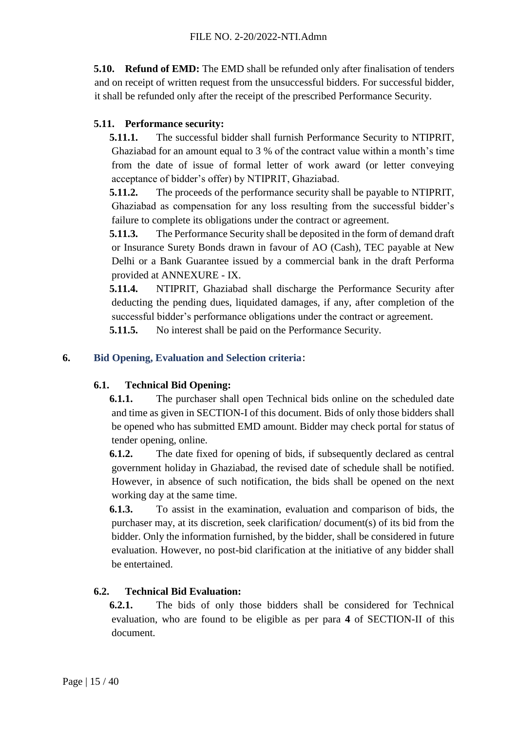**5.10. Refund of EMD:** The EMD shall be refunded only after finalisation of tenders and on receipt of written request from the unsuccessful bidders. For successful bidder, it shall be refunded only after the receipt of the prescribed Performance Security.

### **5.11. Performance security:**

**5.11.1.** The successful bidder shall furnish Performance Security to NTIPRIT, Ghaziabad for an amount equal to 3 % of the contract value within a month's time from the date of issue of formal letter of work award (or letter conveying acceptance of bidder's offer) by NTIPRIT, Ghaziabad.

**5.11.2.** The proceeds of the performance security shall be payable to NTIPRIT, Ghaziabad as compensation for any loss resulting from the successful bidder's failure to complete its obligations under the contract or agreement.

**5.11.3.** The Performance Security shall be deposited in the form of demand draft or Insurance Surety Bonds drawn in favour of AO (Cash), TEC payable at New Delhi or a Bank Guarantee issued by a commercial bank in the draft Performa provided at [ANNEXURE -](#page-36-0) IX.

**5.11.4.** NTIPRIT, Ghaziabad shall discharge the Performance Security after deducting the pending dues, liquidated damages, if any, after completion of the successful bidder's performance obligations under the contract or agreement.

**5.11.5.** No interest shall be paid on the Performance Security.

#### <span id="page-14-0"></span>**6. Bid Opening, Evaluation and Selection criteria**:

### **6.1. Technical Bid Opening:**

**6.1.1.** The purchaser shall open Technical bids online on the scheduled date and time as given in [SECTION-I](#page-4-0) of this document. Bids of only those bidders shall be opened who has submitted EMD amount. Bidder may check portal for status of tender opening, online.

**6.1.2.** The date fixed for opening of bids, if subsequently declared as central government holiday in Ghaziabad, the revised date of schedule shall be notified. However, in absence of such notification, the bids shall be opened on the next working day at the same time.

**6.1.3.** To assist in the examination, evaluation and comparison of bids, the purchaser may, at its discretion, seek clarification/ document(s) of its bid from the bidder. Only the information furnished, by the bidder, shall be considered in future evaluation. However, no post-bid clarification at the initiative of any bidder shall be entertained.

### **6.2. Technical Bid Evaluation:**

**6.2.1.** The bids of only those bidders shall be considered for Technical evaluation, who are found to be eligible as per para **[4](#page-10-0)** of [SECTION-II](#page-6-0) of this document.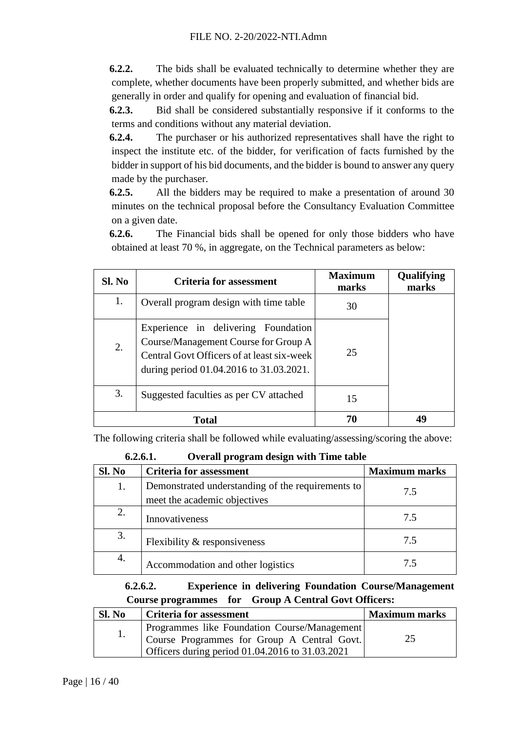**6.2.2.** The bids shall be evaluated technically to determine whether they are complete, whether documents have been properly submitted, and whether bids are generally in order and qualify for opening and evaluation of financial bid.

**6.2.3.** Bid shall be considered substantially responsive if it conforms to the terms and conditions without any material deviation.

**6.2.4.** The purchaser or his authorized representatives shall have the right to inspect the institute etc. of the bidder, for verification of facts furnished by the bidder in support of his bid documents, and the bidder is bound to answer any query made by the purchaser.

**6.2.5.** All the bidders may be required to make a presentation of around 30 minutes on the technical proposal before the Consultancy Evaluation Committee on a given date.

**6.2.6.** The Financial bids shall be opened for only those bidders who have obtained at least 70 %, in aggregate, on the Technical parameters as below:

| Sl. No | <b>Criteria for assessment</b>                                                                                                                                       |    | Qualifying<br>marks |
|--------|----------------------------------------------------------------------------------------------------------------------------------------------------------------------|----|---------------------|
| 1.     | Overall program design with time table                                                                                                                               | 30 |                     |
| 2.     | Experience in delivering Foundation<br>Course/Management Course for Group A<br>Central Govt Officers of at least six-week<br>during period 01.04.2016 to 31.03.2021. | 25 |                     |
| 3.     | Suggested faculties as per CV attached                                                                                                                               | 15 |                     |
|        | Total                                                                                                                                                                | 70 | 40                  |

The following criteria shall be followed while evaluating/assessing/scoring the above:

**6.2.6.1. Overall program design with Time table**

<span id="page-15-0"></span>

| Sl. No | <b>Criteria for assessment</b>                                                    | <b>Maximum marks</b> |
|--------|-----------------------------------------------------------------------------------|----------------------|
| 1.     | Demonstrated understanding of the requirements to<br>meet the academic objectives | 7.5                  |
| 2.     | Innovativeness                                                                    | 7.5                  |
| 3.     | Flexibility $&$ responsiveness                                                    | 7.5                  |
| 4.     | Accommodation and other logistics                                                 |                      |

**6.2.6.2. Experience in delivering Foundation Course/Management Course programmes for Group A Central Govt Officers:**

| Sl. No | <b>Criteria for assessment</b>                                                                                                                              | <b>Maximum marks</b> |
|--------|-------------------------------------------------------------------------------------------------------------------------------------------------------------|----------------------|
|        | Programmes like Foundation Course/Management<br>Course Programmes for Group A Central Govt.<br><sup>1</sup> Officers during period 01.04.2016 to 31.03.2021 | 25                   |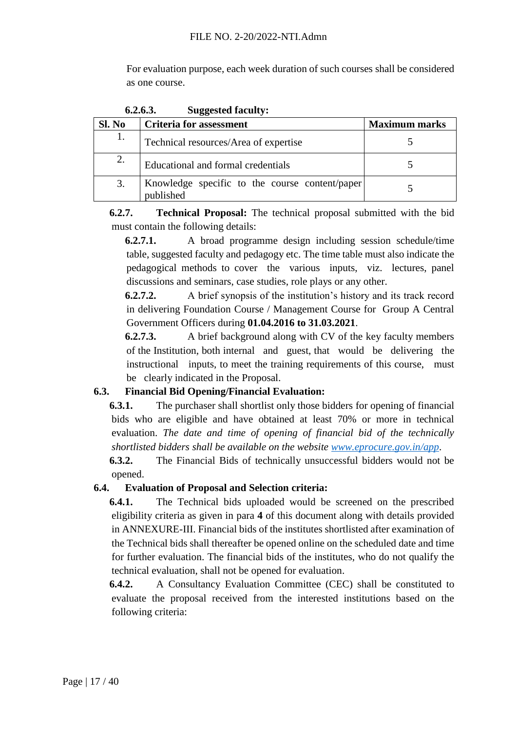For evaluation purpose, each week duration of such courses shall be considered as one course.

<span id="page-16-0"></span>

|        | 0.2.0.3.<br>Suggested faculty:                              |                      |
|--------|-------------------------------------------------------------|----------------------|
| Sl. No | <b>Criteria for assessment</b>                              | <b>Maximum marks</b> |
| 1.     | Technical resources/Area of expertise                       |                      |
| 2.     | Educational and formal credentials                          |                      |
| 3.     | Knowledge specific to the course content/paper<br>published |                      |

**6.2.6.3. Suggested faculty:**

**6.2.7. Technical Proposal:** The technical proposal submitted with the bid must contain the following details:

**6.2.7.1.** A broad programme design including session schedule/time table, suggested faculty and pedagogy etc. The time table must also indicate the pedagogical methods to cover the various inputs, viz. lectures, panel discussions and seminars, case studies, role plays or any other.

**6.2.7.2.** A brief synopsis of the institution's history and its track record in delivering Foundation Course / Management Course for Group A Central Government Officers during **01.04.2016 to 31.03.2021**.

**6.2.7.3.** A brief background along with CV of the key faculty members of the Institution, both internal and guest, that would be delivering the instructional inputs, to meet the training requirements of this course, must be clearly indicated in the Proposal.

### **6.3. Financial Bid Opening/Financial Evaluation:**

**6.3.1.** The purchaser shall shortlist only those bidders for opening of financial bids who are eligible and have obtained at least 70% or more in technical evaluation. *The date and time of opening of financial bid of the technically shortlisted bidders shall be available on the website [www.eprocure.gov.in/](http://www.eprocure.gov.in/)app*.

**6.3.2.** The Financial Bids of technically unsuccessful bidders would not be opened.

### **6.4. Evaluation of Proposal and Selection criteria:**

**6.4.1.** The Technical bids uploaded would be screened on the prescribed eligibility criteria as given in para **[4](#page-10-0)** of this document along with details provided in [ANNEXURE-III.](#page-29-0) Financial bids of the institutes shortlisted after examination of the Technical bids shall thereafter be opened online on the scheduled date and time for further evaluation. The financial bids of the institutes, who do not qualify the technical evaluation, shall not be opened for evaluation.

**6.4.2.** A Consultancy Evaluation Committee (CEC) shall be constituted to evaluate the proposal received from the interested institutions based on the following criteria: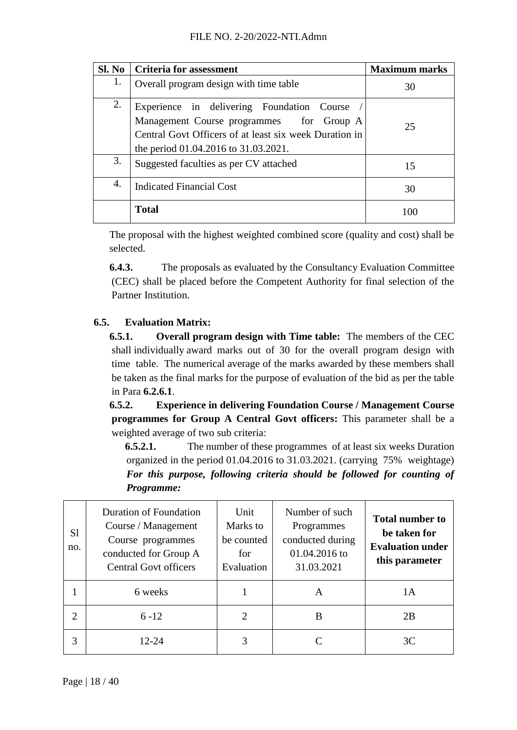| Sl. No | <b>Criteria for assessment</b>                                                                                                                                                           | <b>Maximum marks</b> |
|--------|------------------------------------------------------------------------------------------------------------------------------------------------------------------------------------------|----------------------|
| 1.     | Overall program design with time table                                                                                                                                                   | 30                   |
| 2.     | Experience in delivering Foundation Course<br>Management Course programmes for Group A<br>Central Govt Officers of at least six week Duration in<br>the period 01.04.2016 to 31.03.2021. | 25                   |
| 3.     | Suggested faculties as per CV attached                                                                                                                                                   | 15                   |
| 4.     | <b>Indicated Financial Cost</b>                                                                                                                                                          | 30                   |
|        | <b>Total</b>                                                                                                                                                                             |                      |

The proposal with the highest weighted combined score (quality and cost) shall be selected.

**6.4.3.** The proposals as evaluated by the Consultancy Evaluation Committee (CEC) shall be placed before the Competent Authority for final selection of the Partner Institution.

### **6.5. Evaluation Matrix:**

**6.5.1. Overall program design with Time table:** The members of the CEC shall individually award marks out of 30 for the overall program design with time table. The numerical average of the marks awarded by these members shall be taken as the final marks for the purpose of evaluation of the bid as per the table in Para **[6.2.6.1](#page-15-0)**.

<span id="page-17-0"></span>**6.5.2. Experience in delivering Foundation Course / Management Course programmes for Group A Central Govt officers:** This parameter shall be a weighted average of two sub criteria:

**6.5.2.1.** The number of these programmes of at least six weeks Duration organized in the period 01.04.2016 to 31.03.2021. (carrying 75% weightage) *For this purpose, following criteria should be followed for counting of Programme:*

| S <sub>1</sub><br>no. | <b>Duration of Foundation</b><br>Course / Management<br>Course programmes<br>conducted for Group A<br><b>Central Govt officers</b> | Unit<br>Marks to<br>be counted<br>for<br>Evaluation | Number of such<br>Programmes<br>conducted during<br>01.04.2016 to<br>31.03.2021 | <b>Total number to</b><br>be taken for<br><b>Evaluation under</b><br>this parameter |
|-----------------------|------------------------------------------------------------------------------------------------------------------------------------|-----------------------------------------------------|---------------------------------------------------------------------------------|-------------------------------------------------------------------------------------|
|                       | 6 weeks                                                                                                                            |                                                     | A                                                                               | 1А                                                                                  |
| 2                     | $6 - 12$                                                                                                                           | $\mathcal{D}_{\mathcal{L}}$                         | B                                                                               | 2B                                                                                  |
| 3                     | $12 - 24$                                                                                                                          | 3                                                   |                                                                                 | 3 <sub>C</sub>                                                                      |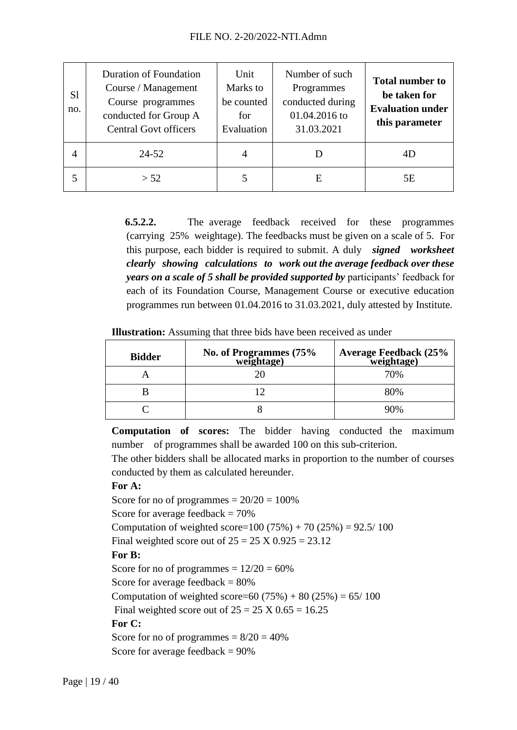| S <sub>1</sub><br>no. | <b>Duration of Foundation</b><br>Course / Management<br>Course programmes<br>conducted for Group A<br><b>Central Govt officers</b> | Unit<br>Marks to<br>be counted<br>for<br>Evaluation | Number of such<br>Programmes<br>conducted during<br>01.04.2016 to<br>31.03.2021 | <b>Total number to</b><br>be taken for<br><b>Evaluation under</b><br>this parameter |
|-----------------------|------------------------------------------------------------------------------------------------------------------------------------|-----------------------------------------------------|---------------------------------------------------------------------------------|-------------------------------------------------------------------------------------|
| 4                     | $24 - 52$                                                                                                                          |                                                     |                                                                                 | 4D                                                                                  |
|                       | > 52                                                                                                                               |                                                     | E                                                                               | 5Ε                                                                                  |

**6.5.2.2.** The average feedback received for these programmes (carrying 25% weightage). The feedbacks must be given on a scale of 5. For this purpose, each bidder is required to submit. A duly *signed worksheet clearly showing calculations to work out the average feedback over these years on a scale of 5 shall be provided supported by* participants' feedback for each of its Foundation Course, Management Course or executive education programmes run between 01.04.2016 to 31.03.2021, duly attested by Institute.

**Illustration:** Assuming that three bids have been received as under

| <b>Bidder</b> | No. of Programmes (75% weightage) | <b>Average Feedback (25% weightage)</b> |
|---------------|-----------------------------------|-----------------------------------------|
|               |                                   | 70%                                     |
|               |                                   | 80%                                     |
|               |                                   | 90%                                     |

**Computation of scores:** The bidder having conducted the maximum number of programmes shall be awarded 100 on this sub-criterion.

The other bidders shall be allocated marks in proportion to the number of courses conducted by them as calculated hereunder.

### **For A:**

Score for no of programmes  $= 20/20 = 100\%$ Score for average feedback  $= 70\%$ Computation of weighted score=100 (75%) + 70 (25%) =  $92.5/100$ Final weighted score out of  $25 = 25 \text{ X } 0.925 = 23.12$ **For B:** Score for no of programmes  $= 12/20 = 60\%$ Score for average feedback  $= 80\%$ Computation of weighted score=60 (75%) + 80 (25%) = 65/ 100 Final weighted score out of  $25 = 25$  X  $0.65 = 16.25$ **For C:** Score for no of programmes  $= 8/20 = 40\%$ Score for average feedback  $= 90\%$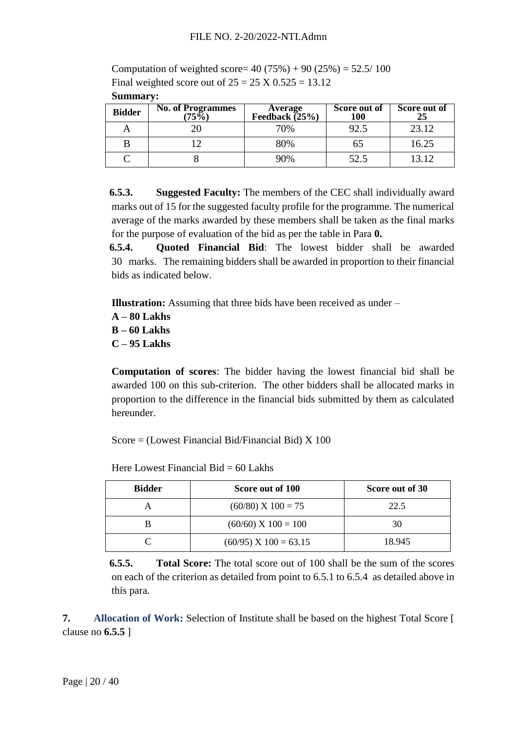Computation of weighted score=  $40 (75%) + 90 (25%) = 52.5/100$ Final weighted score out of  $25 = 25 \text{ X } 0.525 = 13.12$ 

**Summary:**

| <b>Bidder</b> | <b>No.</b> of Programmes<br>$(75\%)$ | Average<br>Feedback (25%) | Score out of<br><b>100</b> | Score out of<br>25 |
|---------------|--------------------------------------|---------------------------|----------------------------|--------------------|
|               |                                      | 70%                       | 92.5                       | 23.12              |
| B             |                                      | 80%                       | ხა                         | 16.25              |
|               |                                      | 90%                       | 52.5                       | 13 12              |

**6.5.3. Suggested Faculty:** The members of the CEC shall individually award marks out of 15 for the suggested faculty profile for the programme. The numerical average of the marks awarded by these members shall be taken as the final marks for the purpose of evaluation of the bid as per the table in Para **[0.](#page-16-0)**

**6.5.4. Quoted Financial Bid**: The lowest bidder shall be awarded 30 marks. The remaining bidders shall be awarded in proportion to their financial bids as indicated below.

**Illustration:** Assuming that three bids have been received as under –

- **A – 80 Lakhs**
- **B – 60 Lakhs**
- **C – 95 Lakhs**

**Computation of scores**: The bidder having the lowest financial bid shall be awarded 100 on this sub-criterion. The other bidders shall be allocated marks in proportion to the difference in the financial bids submitted by them as calculated hereunder.

Score = (Lowest Financial Bid/Financial Bid)  $X$  100

| <b>Bidder</b> | Score out of 100          | Score out of 30 |
|---------------|---------------------------|-----------------|
|               | $(60/80)$ X $100 = 75$    | 22.5            |
|               | $(60/60)$ X $100 = 100$   |                 |
|               | $(60/95)$ X $100 = 63.15$ | 18.945          |

Here Lowest Financial Bid  $= 60$  Lakhs

<span id="page-19-1"></span>**6.5.5. Total Score:** The total score out of 100 shall be the sum of the scores on each of the criterion as detailed from point to 6.5.1 to 6.5.4 as detailed above in this para.

<span id="page-19-0"></span>**7. Allocation of Work:** Selection of Institute shall be based on the highest Total Score [ clause no **[6.5.5](#page-19-1)** ]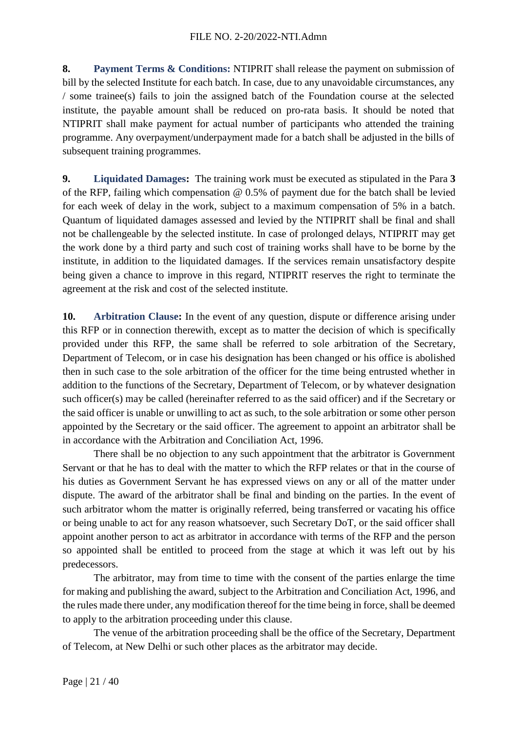<span id="page-20-0"></span>**8. Payment Terms & Conditions:** NTIPRIT shall release the payment on submission of bill by the selected Institute for each batch. In case, due to any unavoidable circumstances, any / some trainee(s) fails to join the assigned batch of the Foundation course at the selected institute, the payable amount shall be reduced on pro-rata basis. It should be noted that NTIPRIT shall make payment for actual number of participants who attended the training programme. Any overpayment/underpayment made for a batch shall be adjusted in the bills of subsequent training programmes.

<span id="page-20-1"></span>**9. Liquidated Damages:** The training work must be executed as stipulated in the Para **[3](#page-6-4)** of the RFP, failing which compensation @ 0.5% of payment due for the batch shall be levied for each week of delay in the work, subject to a maximum compensation of 5% in a batch. Quantum of liquidated damages assessed and levied by the NTIPRIT shall be final and shall not be challengeable by the selected institute. In case of prolonged delays, NTIPRIT may get the work done by a third party and such cost of training works shall have to be borne by the institute, in addition to the liquidated damages. If the services remain unsatisfactory despite being given a chance to improve in this regard, NTIPRIT reserves the right to terminate the agreement at the risk and cost of the selected institute.

<span id="page-20-2"></span>**10. Arbitration Clause:** In the event of any question, dispute or difference arising under this RFP or in connection therewith, except as to matter the decision of which is specifically provided under this RFP, the same shall be referred to sole arbitration of the Secretary, Department of Telecom, or in case his designation has been changed or his office is abolished then in such case to the sole arbitration of the officer for the time being entrusted whether in addition to the functions of the Secretary, Department of Telecom, or by whatever designation such officer(s) may be called (hereinafter referred to as the said officer) and if the Secretary or the said officer is unable or unwilling to act as such, to the sole arbitration or some other person appointed by the Secretary or the said officer. The agreement to appoint an arbitrator shall be in accordance with the Arbitration and Conciliation Act, 1996.

There shall be no objection to any such appointment that the arbitrator is Government Servant or that he has to deal with the matter to which the RFP relates or that in the course of his duties as Government Servant he has expressed views on any or all of the matter under dispute. The award of the arbitrator shall be final and binding on the parties. In the event of such arbitrator whom the matter is originally referred, being transferred or vacating his office or being unable to act for any reason whatsoever, such Secretary DoT, or the said officer shall appoint another person to act as arbitrator in accordance with terms of the RFP and the person so appointed shall be entitled to proceed from the stage at which it was left out by his predecessors.

The arbitrator, may from time to time with the consent of the parties enlarge the time for making and publishing the award, subject to the Arbitration and Conciliation Act, 1996, and the rules made there under, any modification thereof for the time being in force, shall be deemed to apply to the arbitration proceeding under this clause.

The venue of the arbitration proceeding shall be the office of the Secretary, Department of Telecom, at New Delhi or such other places as the arbitrator may decide.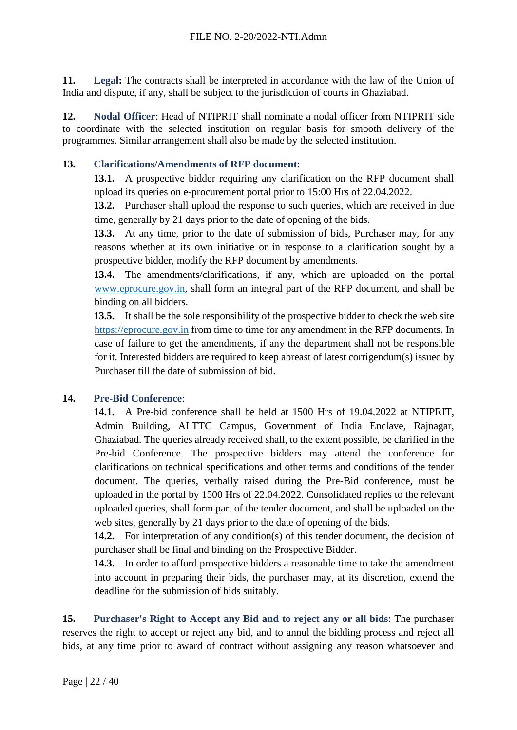<span id="page-21-0"></span>**11. Legal:** The contracts shall be interpreted in accordance with the law of the Union of India and dispute, if any, shall be subject to the jurisdiction of courts in Ghaziabad.

<span id="page-21-1"></span>**12. Nodal Officer**: Head of NTIPRIT shall nominate a nodal officer from NTIPRIT side to coordinate with the selected institution on regular basis for smooth delivery of the programmes. Similar arrangement shall also be made by the selected institution.

#### <span id="page-21-2"></span>**13. Clarifications/Amendments of RFP document**:

**13.1.** A prospective bidder requiring any clarification on the RFP document shall upload its queries on e-procurement portal prior to 15:00 Hrs of 22.04.2022.

**13.2.** Purchaser shall upload the response to such queries, which are received in due time, generally by 21 days prior to the date of opening of the bids.

**13.3.** At any time, prior to the date of submission of bids, Purchaser may, for any reasons whether at its own initiative or in response to a clarification sought by a prospective bidder, modify the RFP document by amendments.

**13.4.** The amendments/clarifications, if any, which are uploaded on the portal [www.eprocure.gov.in,](http://www.eprocure.gov.in/) shall form an integral part of the RFP document, and shall be binding on all bidders.

**13.5.** It shall be the sole responsibility of the prospective bidder to check the web site [https://eprocure.gov.in](https://eprocure.gov.in/) from time to time for any amendment in the RFP documents. In case of failure to get the amendments, if any the department shall not be responsible for it. Interested bidders are required to keep abreast of latest corrigendum(s) issued by Purchaser till the date of submission of bid.

### <span id="page-21-3"></span>**14. Pre-Bid Conference**:

**14.1.** A Pre-bid conference shall be held at 1500 Hrs of 19.04.2022 at NTIPRIT, Admin Building, ALTTC Campus, Government of India Enclave, Rajnagar, Ghaziabad. The queries already received shall, to the extent possible, be clarified in the Pre-bid Conference. The prospective bidders may attend the conference for clarifications on technical specifications and other terms and conditions of the tender document. The queries, verbally raised during the Pre-Bid conference, must be uploaded in the portal by 1500 Hrs of 22.04.2022. Consolidated replies to the relevant uploaded queries, shall form part of the tender document, and shall be uploaded on the web sites, generally by 21 days prior to the date of opening of the bids.

14.2. For interpretation of any condition(s) of this tender document, the decision of purchaser shall be final and binding on the Prospective Bidder.

**14.3.** In order to afford prospective bidders a reasonable time to take the amendment into account in preparing their bids, the purchaser may, at its discretion, extend the deadline for the submission of bids suitably.

<span id="page-21-4"></span>**15. Purchaser's Right to Accept any Bid and to reject any or all bids**: The purchaser reserves the right to accept or reject any bid, and to annul the bidding process and reject all bids, at any time prior to award of contract without assigning any reason whatsoever and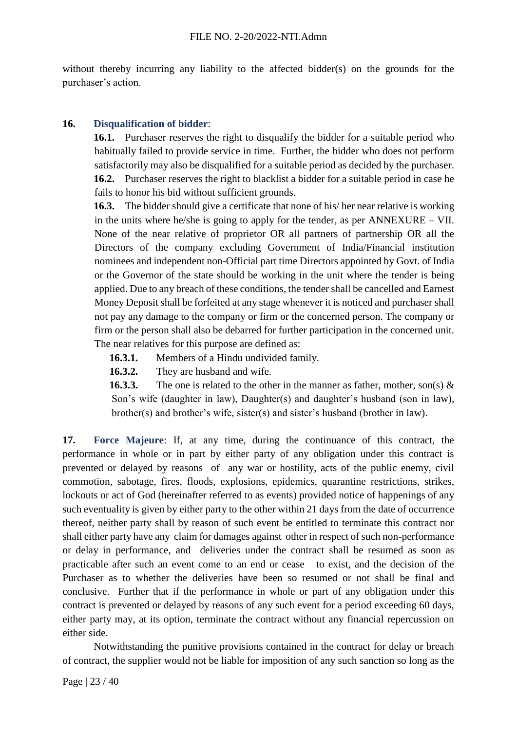without thereby incurring any liability to the affected bidder(s) on the grounds for the purchaser's action.

#### <span id="page-22-0"></span>**16. Disqualification of bidder**:

**16.1.** Purchaser reserves the right to disqualify the bidder for a suitable period who habitually failed to provide service in time. Further, the bidder who does not perform satisfactorily may also be disqualified for a suitable period as decided by the purchaser. **16.2.** Purchaser reserves the right to blacklist a bidder for a suitable period in case he fails to honor his bid without sufficient grounds.

**16.3.** The bidder should give a certificate that none of his/ her near relative is working in the units where he/she is going to apply for the tender, as per [ANNEXURE –](#page-34-0) VII. None of the near relative of proprietor OR all partners of partnership OR all the Directors of the company excluding Government of India/Financial institution nominees and independent non-Official part time Directors appointed by Govt. of India or the Governor of the state should be working in the unit where the tender is being applied. Due to any breach of these conditions, the tender shall be cancelled and Earnest Money Deposit shall be forfeited at any stage whenever it is noticed and purchaser shall not pay any damage to the company or firm or the concerned person. The company or firm or the person shall also be debarred for further participation in the concerned unit. The near relatives for this purpose are defined as:

- **16.3.1.** Members of a Hindu undivided family.
- **16.3.2.** They are husband and wife.

**16.3.3.** The one is related to the other in the manner as father, mother, son(s)  $\&$ Son's wife (daughter in law), Daughter(s) and daughter's husband (son in law), brother(s) and brother's wife, sister(s) and sister's husband (brother in law).

<span id="page-22-1"></span>**17. Force Majeure**: If, at any time, during the continuance of this contract, the performance in whole or in part by either party of any obligation under this contract is prevented or delayed by reasons of any war or hostility, acts of the public enemy, civil commotion, sabotage, fires, floods, explosions, epidemics, quarantine restrictions, strikes, lockouts or act of God (hereinafter referred to as events) provided notice of happenings of any such eventuality is given by either party to the other within 21 days from the date of occurrence thereof, neither party shall by reason of such event be entitled to terminate this contract nor shall either party have any claim for damages against other in respect of such non-performance or delay in performance, and deliveries under the contract shall be resumed as soon as practicable after such an event come to an end or cease to exist, and the decision of the Purchaser as to whether the deliveries have been so resumed or not shall be final and conclusive. Further that if the performance in whole or part of any obligation under this contract is prevented or delayed by reasons of any such event for a period exceeding 60 days, either party may, at its option, terminate the contract without any financial repercussion on either side.

Notwithstanding the punitive provisions contained in the contract for delay or breach of contract, the supplier would not be liable for imposition of any such sanction so long as the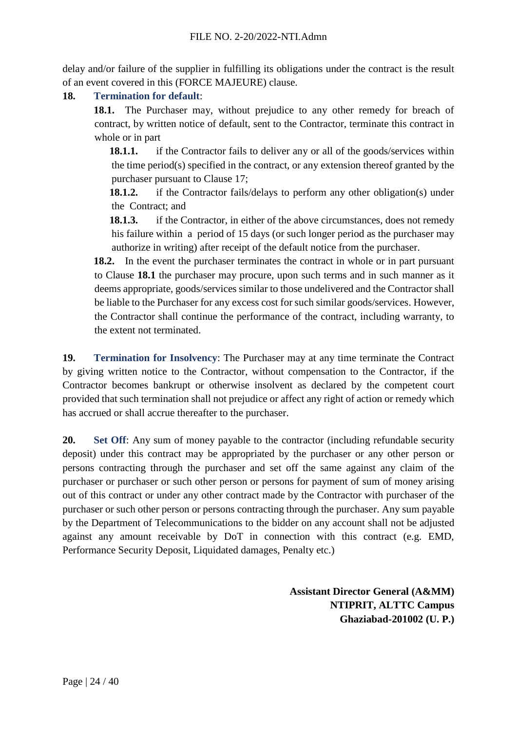delay and/or failure of the supplier in fulfilling its obligations under the contract is the result of an event covered in this (FORCE MAJEURE) clause.

### <span id="page-23-3"></span><span id="page-23-0"></span>**18. Termination for default**:

**18.1.** The Purchaser may, without prejudice to any other remedy for breach of contract, by written notice of default, sent to the Contractor, terminate this contract in whole or in part

**18.1.1.** if the Contractor fails to deliver any or all of the goods/services within the time period(s) specified in the contract, or any extension thereof granted by the purchaser pursuant to Clause [17;](#page-22-1)

**18.1.2.** if the Contractor fails/delays to perform any other obligation(s) under the Contract; and

**18.1.3.** if the Contractor, in either of the above circumstances, does not remedy his failure within a period of 15 days (or such longer period as the purchaser may authorize in writing) after receipt of the default notice from the purchaser.

**18.2.** In the event the purchaser terminates the contract in whole or in part pursuant to Clause **[18.1](#page-23-3)** the purchaser may procure, upon such terms and in such manner as it deems appropriate, goods/services similar to those undelivered and the Contractor shall be liable to the Purchaser for any excess cost for such similar goods/services. However, the Contractor shall continue the performance of the contract, including warranty, to the extent not terminated.

<span id="page-23-1"></span>**19. Termination for Insolvency**: The Purchaser may at any time terminate the Contract by giving written notice to the Contractor, without compensation to the Contractor, if the Contractor becomes bankrupt or otherwise insolvent as declared by the competent court provided that such termination shall not prejudice or affect any right of action or remedy which has accrued or shall accrue thereafter to the purchaser.

<span id="page-23-2"></span>**20. Set Off**: Any sum of money payable to the contractor (including refundable security deposit) under this contract may be appropriated by the purchaser or any other person or persons contracting through the purchaser and set off the same against any claim of the purchaser or purchaser or such other person or persons for payment of sum of money arising out of this contract or under any other contract made by the Contractor with purchaser of the purchaser or such other person or persons contracting through the purchaser. Any sum payable by the Department of Telecommunications to the bidder on any account shall not be adjusted against any amount receivable by DoT in connection with this contract (e.g. EMD, Performance Security Deposit, Liquidated damages, Penalty etc.)

> **Assistant Director General (A&MM) NTIPRIT, ALTTC Campus Ghaziabad-201002 (U. P.)**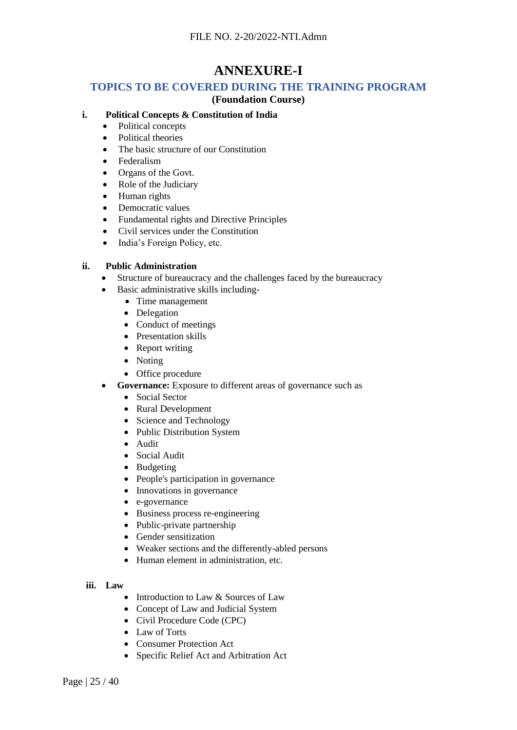### **ANNEXURE-I**

### <span id="page-24-1"></span><span id="page-24-0"></span>**TOPICS TO BE COVERED DURING THE TRAINING PROGRAM**

#### **(Foundation Course)**

#### **i. Political Concepts & Constitution of India**

- Political concepts
- Political theories
- The basic structure of our Constitution
- Federalism
- Organs of the Govt.
- Role of the Judiciary
- Human rights
- Democratic values
- Fundamental rights and Directive Principles
- Civil services under the Constitution
- India's Foreign Policy, etc.

#### **ii. Public Administration**

- Structure of bureaucracy and the challenges faced by the bureaucracy
- Basic administrative skills including-
	- Time management
	- Delegation
	- Conduct of meetings
	- Presentation skills
	- Report writing
	- Noting
	- Office procedure
- **Governance:** Exposure to different areas of governance such as
	- Social Sector
	- Rural Development
	- Science and Technology
	- Public Distribution System
	- Audit
	- Social Audit
	- Budgeting
	- People's participation in governance
	- Innovations in governance
	- e-governance
	- Business process re-engineering
	- Public-private partnership
	- Gender sensitization
	- Weaker sections and the differently-abled persons
	- Human element in administration, etc.
- **iii. Law** 
	- Introduction to Law & Sources of Law
	- Concept of Law and Judicial System
	- Civil Procedure Code (CPC)
	- Law of Torts
	- Consumer Protection Act
	- Specific Relief Act and Arbitration Act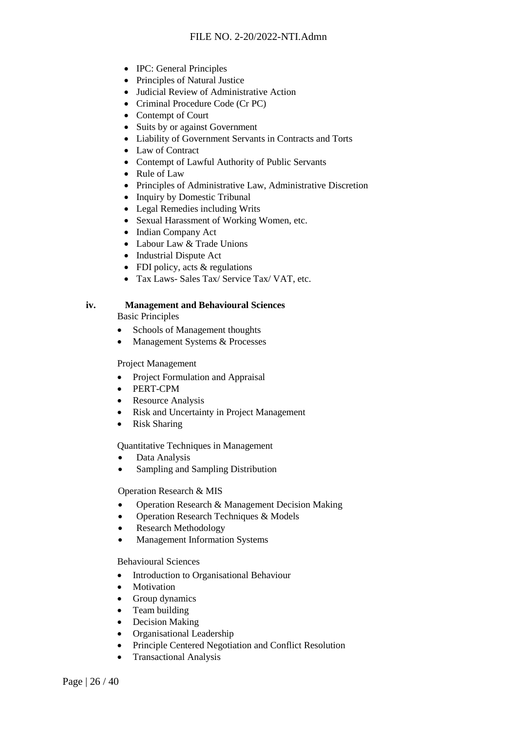- IPC: General Principles
- Principles of Natural Justice
- Judicial Review of Administrative Action
- Criminal Procedure Code (Cr PC)
- Contempt of Court
- Suits by or against Government
- Liability of Government Servants in Contracts and Torts
- Law of Contract
- Contempt of Lawful Authority of Public Servants
- Rule of Law
- Principles of Administrative Law, Administrative Discretion
- Inquiry by Domestic Tribunal
- Legal Remedies including Writs
- Sexual Harassment of Working Women, etc.
- Indian Company Act
- Labour Law & Trade Unions
- Industrial Dispute Act
- FDI policy, acts & regulations
- Tax Laws- Sales Tax/ Service Tax/ VAT, etc.

### **iv. Management and Behavioural Sciences**

- Basic Principles
- Schools of Management thoughts
- Management Systems & Processes

#### Project Management

- Project Formulation and Appraisal
- PERT-CPM
- Resource Analysis
- Risk and Uncertainty in Project Management
- Risk Sharing

Quantitative Techniques in Management

- Data Analysis
- Sampling and Sampling Distribution

#### Operation Research & MIS

- Operation Research & Management Decision Making
- Operation Research Techniques & Models
- Research Methodology
- Management Information Systems

#### Behavioural Sciences

- Introduction to Organisational Behaviour
- Motivation
- Group dynamics
- Team building
- Decision Making
- Organisational Leadership
- Principle Centered Negotiation and Conflict Resolution
- Transactional Analysis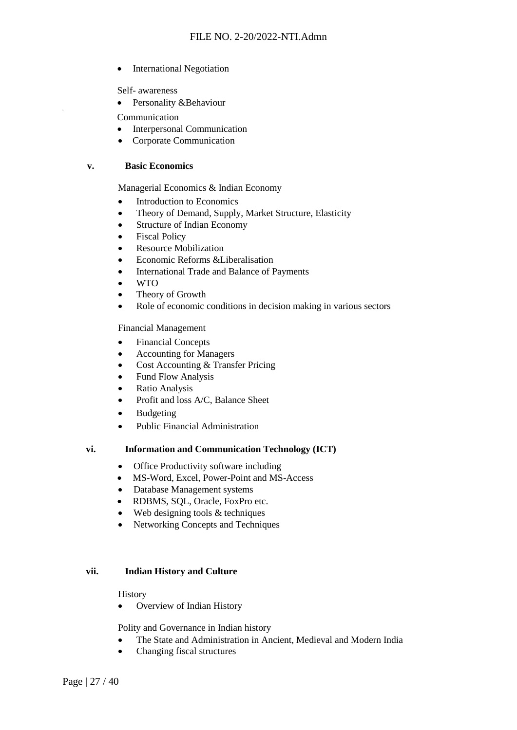• International Negotiation

Self- awareness

• Personality &Behaviour

Communication

- Interpersonal Communication
- Corporate Communication

#### **v. Basic Economics**

Managerial Economics & Indian Economy

- Introduction to Economics
- Theory of Demand, Supply, Market Structure, Elasticity
- Structure of Indian Economy
- **Fiscal Policy**
- Resource Mobilization
- Economic Reforms &Liberalisation
- International Trade and Balance of Payments
- WTO
- Theory of Growth
- Role of economic conditions in decision making in various sectors

#### Financial Management

- Financial Concepts
- Accounting for Managers
- Cost Accounting & Transfer Pricing
- Fund Flow Analysis
- Ratio Analysis
- Profit and loss A/C, Balance Sheet
- **Budgeting**
- Public Financial Administration

#### **vi. Information and Communication Technology (ICT)**

- Office Productivity software including
- MS-Word, Excel, Power-Point and MS-Access
- Database Management systems
- RDBMS, SQL, Oracle, FoxPro etc.
- Web designing tools & techniques
- Networking Concepts and Techniques

#### **vii. Indian History and Culture**

#### **History**

• Overview of Indian History

Polity and Governance in Indian history

- The State and Administration in Ancient, Medieval and Modern India
- Changing fiscal structures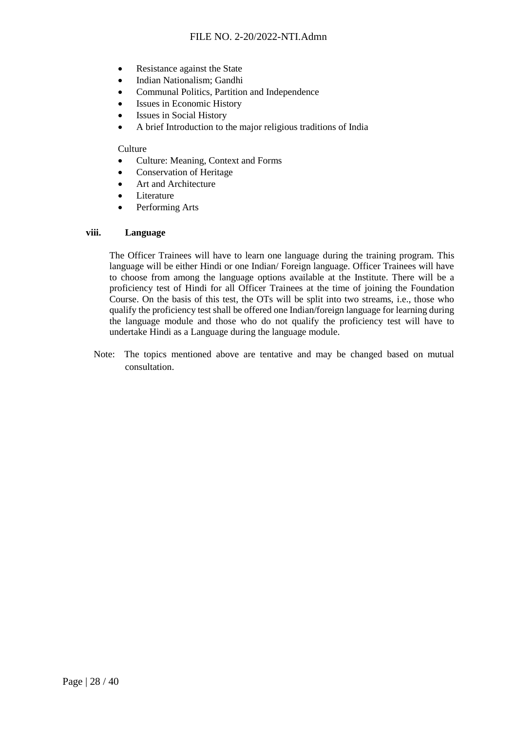- Resistance against the State
- Indian Nationalism; Gandhi
- Communal Politics, Partition and Independence
- Issues in Economic History
- Issues in Social History
- A brief Introduction to the major religious traditions of India

#### **Culture**

- Culture: Meaning, Context and Forms
- Conservation of Heritage
- Art and Architecture
- Literature
- Performing Arts

#### **viii. Language**

The Officer Trainees will have to learn one language during the training program. This language will be either Hindi or one Indian/ Foreign language. Officer Trainees will have to choose from among the language options available at the Institute. There will be a proficiency test of Hindi for all Officer Trainees at the time of joining the Foundation Course. On the basis of this test, the OTs will be split into two streams, i.e., those who qualify the proficiency test shall be offered one Indian/foreign language for learning during the language module and those who do not qualify the proficiency test will have to undertake Hindi as a Language during the language module.

Note: The topics mentioned above are tentative and may be changed based on mutual consultation.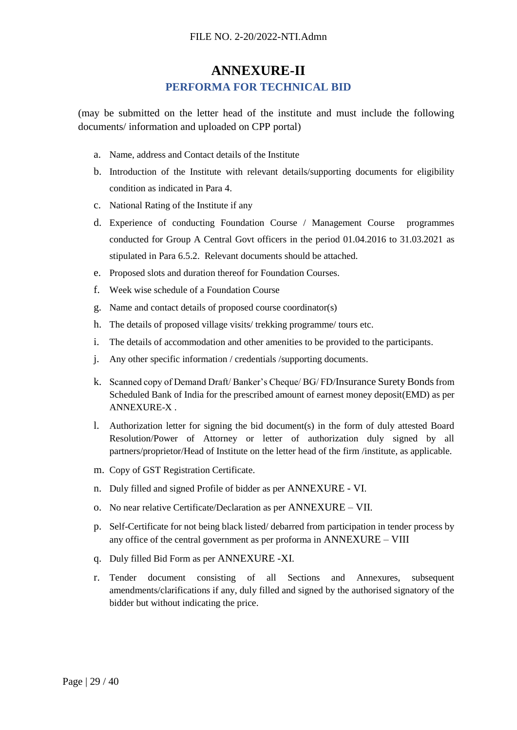### **ANNEXURE-II PERFORMA FOR TECHNICAL BID**

<span id="page-28-1"></span><span id="page-28-0"></span>(may be submitted on the letter head of the institute and must include the following documents/ information and uploaded on CPP portal)

- a. Name, address and Contact details of the Institute
- b. Introduction of the Institute with relevant details/supporting documents for eligibility condition as indicated in Para 4.
- c. National Rating of the Institute if any
- d. Experience of conducting Foundation Course / Management Course programmes conducted for Group A Central Govt officers in the period 01.04.2016 to 31.03.2021 as stipulated in Para 6.5.2. Relevant documents should be attached.
- e. Proposed slots and duration thereof for Foundation Courses.
- f. Week wise schedule of a Foundation Course
- g. Name and contact details of proposed course coordinator(s)
- h. The details of proposed village visits/ trekking programme/ tours etc.
- i. The details of accommodation and other amenities to be provided to the participants.
- j. Any other specific information / credentials /supporting documents.
- k. Scanned copy of Demand Draft/ Banker's Cheque/ BG/ FD/Insurance Surety Bondsfrom Scheduled Bank of India for the prescribed amount of earnest money deposit(EMD) as per ANNEXURE-X .
- l. Authorization letter for signing the bid document(s) in the form of duly attested Board Resolution/Power of Attorney or letter of authorization duly signed by all partners/proprietor/Head of Institute on the letter head of the firm /institute, as applicable.
- m. Copy of GST Registration Certificate.
- n. Duly filled and signed Profile of bidder as per [ANNEXURE -](#page-33-0) VI.
- o. No near relative Certificate/Declaration as per [ANNEXURE –](#page-34-0) VII.
- p. Self-Certificate for not being black listed/ debarred from participation in tender process by any office of the central government as per proforma in [ANNEXURE –](#page-35-0) VIII
- q. Duly filled Bid Form as per [ANNEXURE -XI](#page-39-0).
- r. Tender document consisting of all Sections and Annexures, subsequent amendments/clarifications if any, duly filled and signed by the authorised signatory of the bidder but without indicating the price.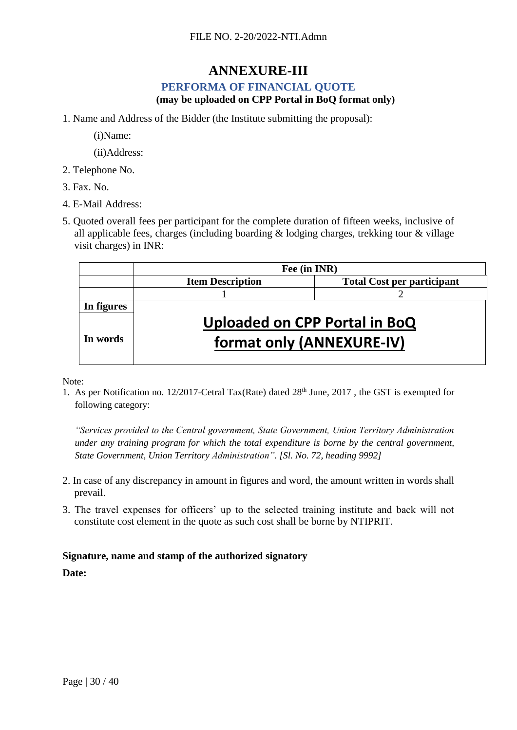### **ANNEXURE-III**

### **PERFORMA OF FINANCIAL QUOTE**

#### **(may be uploaded on CPP Portal in BoQ format only)**

<span id="page-29-1"></span><span id="page-29-0"></span>1. Name and Address of the Bidder (the Institute submitting the proposal):

(i)Name:

- (ii)Address:
- 2. Telephone No.
- 3. Fax. No.
- 4. E-Mail Address:
- 5. Quoted overall fees per participant for the complete duration of fifteen weeks, inclusive of all applicable fees, charges (including boarding & lodging charges, trekking tour & village visit charges) in INR:

| Fee (in INR)            |                                   |  |  |  |  |  |
|-------------------------|-----------------------------------|--|--|--|--|--|
| <b>Item Description</b> | <b>Total Cost per participant</b> |  |  |  |  |  |
|                         |                                   |  |  |  |  |  |
|                         |                                   |  |  |  |  |  |
|                         | Uploaded on CPP Portal in BoQ     |  |  |  |  |  |
|                         | format only (ANNEXURE-IV)         |  |  |  |  |  |
|                         |                                   |  |  |  |  |  |

Note:

1. As per Notification no. 12/2017-Cetral Tax(Rate) dated 28<sup>th</sup> June, 2017, the GST is exempted for following category:

*"Services provided to the Central government, State Government, Union Territory Administration under any training program for which the total expenditure is borne by the central government, State Government, Union Territory Administration". [Sl. No. 72, heading 9992]*

- 2. In case of any discrepancy in amount in figures and word, the amount written in words shall prevail.
- 3. The travel expenses for officers' up to the selected training institute and back will not constitute cost element in the quote as such cost shall be borne by NTIPRIT.

#### **Signature, name and stamp of the authorized signatory**

**Date:**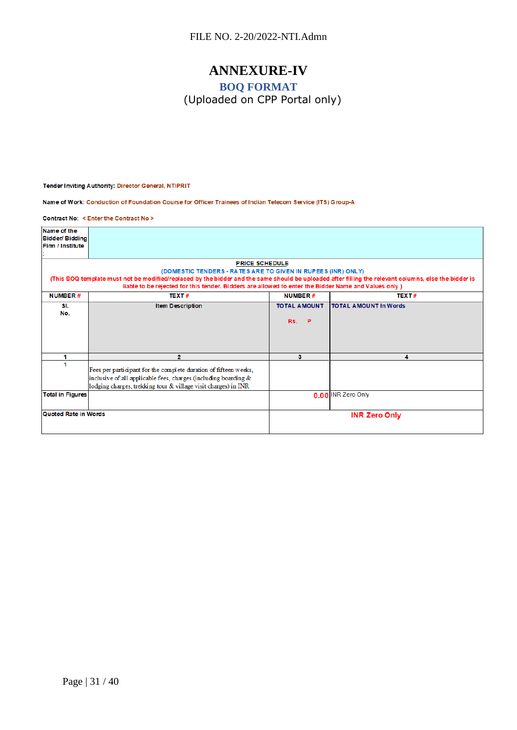### **ANNEXURE-IV BOQ FORMAT** (Uploaded on CPP Portal only)

<span id="page-30-1"></span><span id="page-30-0"></span>Tender Inviting Authority: Director General, NTIPRIT

Name of Work: Conduction of Foundation Course for Officer Trainees of Indian Telecom Service (ITS) Group-A

Contract No: < Enter the Contract No >

| Name of the             |                                                                                                                                                       |                     |                              |
|-------------------------|-------------------------------------------------------------------------------------------------------------------------------------------------------|---------------------|------------------------------|
| <b>Bidder/ Bidding</b>  |                                                                                                                                                       |                     |                              |
| Firm / Institute        |                                                                                                                                                       |                     |                              |
|                         |                                                                                                                                                       |                     |                              |
|                         | <b>PRICE SCHEDULE</b>                                                                                                                                 |                     |                              |
|                         | (DOMESTIC TENDERS - RATES ARE TO GIVEN IN RUPEES (INR) ONLY)                                                                                          |                     |                              |
|                         | (This BOQ template must not be modified/replaced by the bidder and the same should be uploaded after filling the relevant columns, else the bidder is |                     |                              |
|                         | liable to be rejected for this tender. Bidders are allowed to enter the Bidder Name and Values only )                                                 |                     |                              |
| <b>NUMBER#</b>          | <b>TEXT#</b>                                                                                                                                          | <b>NUMBER#</b>      | TEXT#                        |
| SI.                     | <b>Item Description</b>                                                                                                                               | <b>TOTAL AMOUNT</b> | <b>TOTAL AMOUNT In Words</b> |
| No.                     |                                                                                                                                                       |                     |                              |
|                         |                                                                                                                                                       | Rs. P               |                              |
|                         |                                                                                                                                                       |                     |                              |
|                         |                                                                                                                                                       |                     |                              |
|                         |                                                                                                                                                       |                     |                              |
|                         | $\overline{2}$                                                                                                                                        | 3                   | 4                            |
|                         |                                                                                                                                                       |                     |                              |
|                         | Fees per participant for the complete duration of fifteen weeks,                                                                                      |                     |                              |
|                         | inclusive of all applicable fees, charges (including boarding &                                                                                       |                     |                              |
|                         | lodging charges, trekking tour & village visit charges) in INR                                                                                        |                     |                              |
| <b>Total in Figures</b> |                                                                                                                                                       |                     | 0.00 INR Zero Only           |
|                         |                                                                                                                                                       |                     |                              |
| Quoted Rate in Words    |                                                                                                                                                       |                     | <b>INR Zero Only</b>         |
|                         |                                                                                                                                                       |                     |                              |
|                         |                                                                                                                                                       |                     |                              |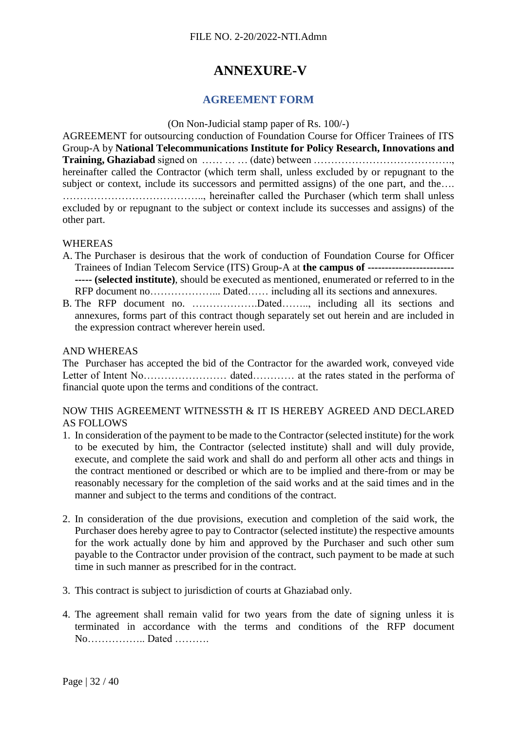### **ANNEXURE-V**

#### **AGREEMENT FORM**

#### (On Non-Judicial stamp paper of Rs. 100/-)

<span id="page-31-1"></span><span id="page-31-0"></span>AGREEMENT for outsourcing conduction of Foundation Course for Officer Trainees of ITS Group-A by **National Telecommunications Institute for Policy Research, Innovations and Training, Ghaziabad** signed on …… … … (date) between …………………………………., hereinafter called the Contractor (which term shall, unless excluded by or repugnant to the subject or context, include its successors and permitted assigns) of the one part, and the.... ………………………………….., hereinafter called the Purchaser (which term shall unless excluded by or repugnant to the subject or context include its successes and assigns) of the other part.

#### WHEREAS

- A. The Purchaser is desirous that the work of conduction of Foundation Course for Officer Trainees of Indian Telecom Service (ITS) Group-A at **the campus of ------------------------- ----- (selected institute)**, should be executed as mentioned, enumerated or referred to in the RFP document no………………... Dated…… including all its sections and annexures.
- B. The RFP document no. ……………….Dated…….., including all its sections and annexures, forms part of this contract though separately set out herein and are included in the expression contract wherever herein used.

#### AND WHEREAS

The Purchaser has accepted the bid of the Contractor for the awarded work, conveyed vide Letter of Intent No…………………… dated………… at the rates stated in the performa of financial quote upon the terms and conditions of the contract.

#### NOW THIS AGREEMENT WITNESSTH & IT IS HEREBY AGREED AND DECLARED AS FOLLOWS

- 1. In consideration of the payment to be made to the Contractor (selected institute) for the work to be executed by him, the Contractor (selected institute) shall and will duly provide, execute, and complete the said work and shall do and perform all other acts and things in the contract mentioned or described or which are to be implied and there-from or may be reasonably necessary for the completion of the said works and at the said times and in the manner and subject to the terms and conditions of the contract.
- 2. In consideration of the due provisions, execution and completion of the said work, the Purchaser does hereby agree to pay to Contractor (selected institute) the respective amounts for the work actually done by him and approved by the Purchaser and such other sum payable to the Contractor under provision of the contract, such payment to be made at such time in such manner as prescribed for in the contract.
- 3. This contract is subject to jurisdiction of courts at Ghaziabad only.
- 4. The agreement shall remain valid for two years from the date of signing unless it is terminated in accordance with the terms and conditions of the RFP document No…………….. Dated ……….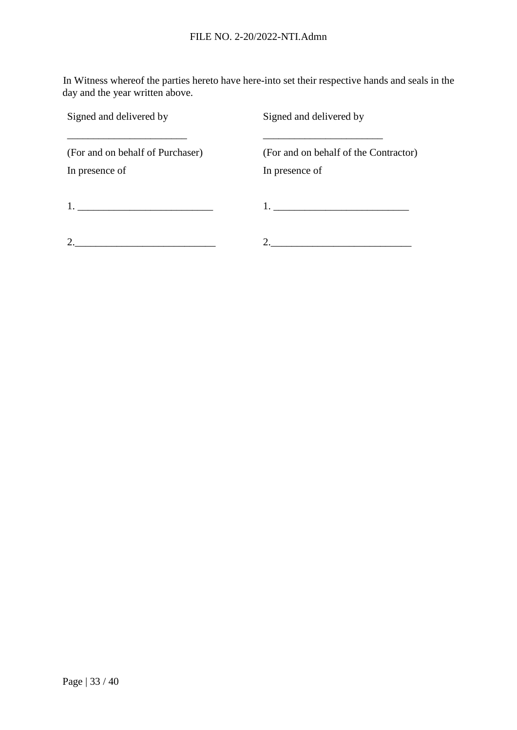In Witness whereof the parties hereto have here-into set their respective hands and seals in the day and the year written above.

| Signed and delivered by          | Signed and delivered by               |
|----------------------------------|---------------------------------------|
| (For and on behalf of Purchaser) | (For and on behalf of the Contractor) |
| In presence of                   | In presence of                        |
|                                  |                                       |
|                                  |                                       |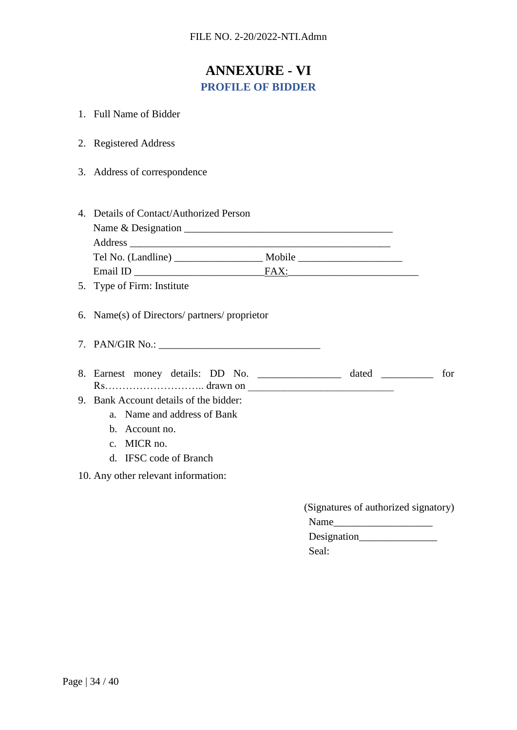### **ANNEXURE - VI PROFILE OF BIDDER**

- <span id="page-33-1"></span><span id="page-33-0"></span>1. Full Name of Bidder
- 2. Registered Address
- 3. Address of correspondence

| 4. Details of Contact/Authorized Person                          |  |     |
|------------------------------------------------------------------|--|-----|
|                                                                  |  |     |
|                                                                  |  |     |
|                                                                  |  |     |
|                                                                  |  |     |
| 5. Type of Firm: Institute                                       |  |     |
| 6. Name(s) of Directors/ partners/ proprietor                    |  |     |
|                                                                  |  |     |
| 8. Earnest money details: DD No. ______________ dated __________ |  | for |
| 9. Bank Account details of the bidder:                           |  |     |
| a. Name and address of Bank                                      |  |     |
| b. Account no.                                                   |  |     |
| c. MICR no.                                                      |  |     |

- d. IFSC code of Branch
- 10. Any other relevant information:

| (Signatures of authorized signatory) |  |
|--------------------------------------|--|
| Name                                 |  |
| Designation                          |  |
| Seal:                                |  |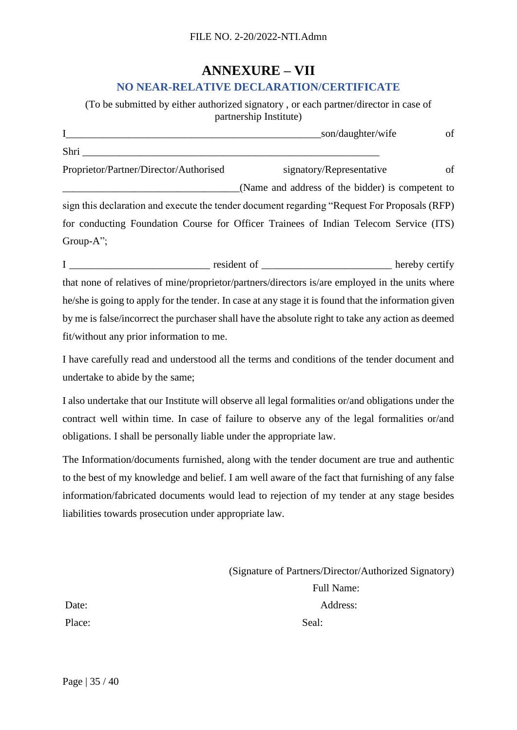### **ANNEXURE – VII NO NEAR-RELATIVE DECLARATION/CERTIFICATE**

<span id="page-34-1"></span><span id="page-34-0"></span>(To be submitted by either authorized signatory , or each partner/director in case of partnership Institute)

|                                        | son/daughter/wife                                                                            | of |
|----------------------------------------|----------------------------------------------------------------------------------------------|----|
| Shri                                   |                                                                                              |    |
| Proprietor/Partner/Director/Authorised | signatory/Representative                                                                     | of |
|                                        | (Name and address of the bidder) is competent to                                             |    |
|                                        | sign this declaration and execute the tender document regarding "Request For Proposals (RFP) |    |
|                                        | for conducting Foundation Course for Officer Trainees of Indian Telecom Service (ITS)        |    |
| Group- $A$ <sup>"</sup> ;              |                                                                                              |    |

I consider the resident of the resident of  $\overline{a}$  hereby certify that none of relatives of mine/proprietor/partners/directors is/are employed in the units where he/she is going to apply for the tender. In case at any stage it is found that the information given by me is false/incorrect the purchaser shall have the absolute right to take any action as deemed fit/without any prior information to me.

I have carefully read and understood all the terms and conditions of the tender document and undertake to abide by the same;

I also undertake that our Institute will observe all legal formalities or/and obligations under the contract well within time. In case of failure to observe any of the legal formalities or/and obligations. I shall be personally liable under the appropriate law.

The Information/documents furnished, along with the tender document are true and authentic to the best of my knowledge and belief. I am well aware of the fact that furnishing of any false information/fabricated documents would lead to rejection of my tender at any stage besides liabilities towards prosecution under appropriate law.

|        | (Signature of Partners/Director/Authorized Signatory) |
|--------|-------------------------------------------------------|
|        | Full Name:                                            |
| Date:  | Address:                                              |
| Place: | Seal:                                                 |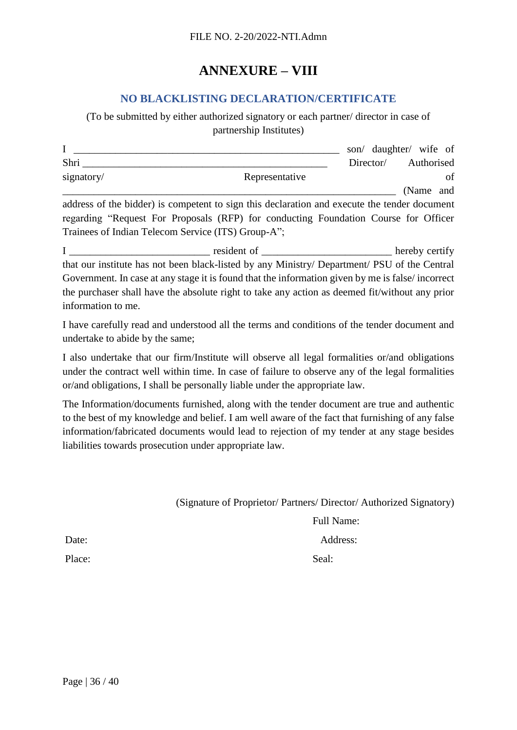### **ANNEXURE – VIII**

### **NO BLACKLISTING DECLARATION/CERTIFICATE**

<span id="page-35-1"></span><span id="page-35-0"></span>(To be submitted by either authorized signatory or each partner/ director in case of partnership Institutes)

|            |                |           | son/ daughter/ wife of |
|------------|----------------|-----------|------------------------|
| Shri       |                | Director/ | Authorised             |
| signatory/ | Representative |           | οf                     |
|            |                |           | (Name and              |

address of the bidder) is competent to sign this declaration and execute the tender document regarding "Request For Proposals (RFP) for conducting Foundation Course for Officer Trainees of Indian Telecom Service (ITS) Group-A";

I \_\_\_\_\_\_\_\_\_\_\_\_\_\_\_\_\_\_\_\_\_\_\_\_\_\_\_ resident of \_\_\_\_\_\_\_\_\_\_\_\_\_\_\_\_\_\_\_\_\_\_\_\_\_ hereby certify that our institute has not been black-listed by any Ministry/ Department/ PSU of the Central Government. In case at any stage it is found that the information given by me is false/ incorrect the purchaser shall have the absolute right to take any action as deemed fit/without any prior information to me.

I have carefully read and understood all the terms and conditions of the tender document and undertake to abide by the same;

I also undertake that our firm/Institute will observe all legal formalities or/and obligations under the contract well within time. In case of failure to observe any of the legal formalities or/and obligations, I shall be personally liable under the appropriate law.

The Information/documents furnished, along with the tender document are true and authentic to the best of my knowledge and belief. I am well aware of the fact that furnishing of any false information/fabricated documents would lead to rejection of my tender at any stage besides liabilities towards prosecution under appropriate law.

(Signature of Proprietor/ Partners/ Director/ Authorized Signatory)

Full Name:

Date: Address:

Place: Seal: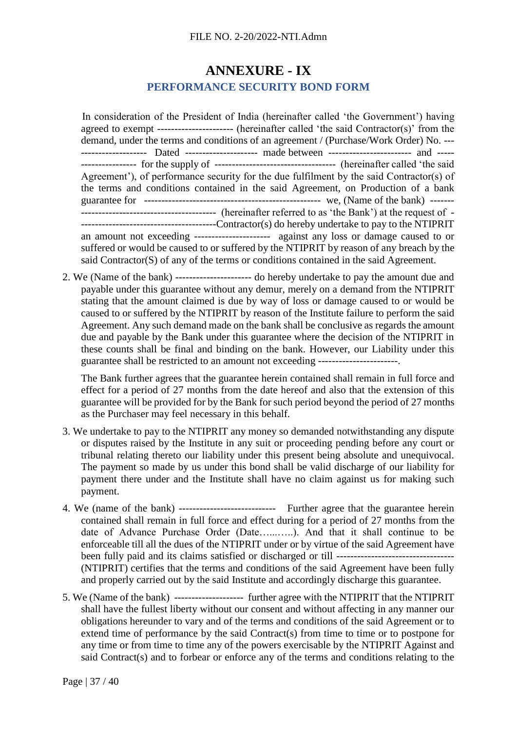### **ANNEXURE - IX PERFORMANCE SECURITY BOND FORM**

<span id="page-36-1"></span><span id="page-36-0"></span>In consideration of the President of India (hereinafter called 'the Government') having agreed to exempt ---------------------- (hereinafter called 'the said Contractor(s)' from the demand, under the terms and conditions of an agreement / (Purchase/Work Order) No. --- ------------------- Dated --------------------- made between ------------------------ and ----- ---------------- for the supply of ----------------------------------- (hereinafter called 'the said Agreement'), of performance security for the due fulfilment by the said Contractor(s) of the terms and conditions contained in the said Agreement, on Production of a bank guarantee for --------------------------------------------------- we, (Name of the bank) ------- --------------------------------------- (hereinafter referred to as 'the Bank') at the request of - ---------------------------------------Contractor(s) do hereby undertake to pay to the NTIPRIT an amount not exceeding ---------------------- against any loss or damage caused to or suffered or would be caused to or suffered by the NTIPRIT by reason of any breach by the said Contractor(S) of any of the terms or conditions contained in the said Agreement.

2. We (Name of the bank) ---------------------- do hereby undertake to pay the amount due and payable under this guarantee without any demur, merely on a demand from the NTIPRIT stating that the amount claimed is due by way of loss or damage caused to or would be caused to or suffered by the NTIPRIT by reason of the Institute failure to perform the said Agreement. Any such demand made on the bank shall be conclusive as regards the amount due and payable by the Bank under this guarantee where the decision of the NTIPRIT in these counts shall be final and binding on the bank. However, our Liability under this guarantee shall be restricted to an amount not exceeding -----------------------.

The Bank further agrees that the guarantee herein contained shall remain in full force and effect for a period of 27 months from the date hereof and also that the extension of this guarantee will be provided for by the Bank for such period beyond the period of 27 months as the Purchaser may feel necessary in this behalf.

- 3. We undertake to pay to the NTIPRIT any money so demanded notwithstanding any dispute or disputes raised by the Institute in any suit or proceeding pending before any court or tribunal relating thereto our liability under this present being absolute and unequivocal. The payment so made by us under this bond shall be valid discharge of our liability for payment there under and the Institute shall have no claim against us for making such payment.
- 4. We (name of the bank) ---------------------------- Further agree that the guarantee herein contained shall remain in full force and effect during for a period of 27 months from the date of Advance Purchase Order (Date…...…..). And that it shall continue to be enforceable till all the dues of the NTIPRIT under or by virtue of the said Agreement have been fully paid and its claims satisfied or discharged or till ---------------------------------- (NTIPRIT) certifies that the terms and conditions of the said Agreement have been fully and properly carried out by the said Institute and accordingly discharge this guarantee.
- 5. We (Name of the bank) -------------------- further agree with the NTIPRIT that the NTIPRIT shall have the fullest liberty without our consent and without affecting in any manner our obligations hereunder to vary and of the terms and conditions of the said Agreement or to extend time of performance by the said Contract(s) from time to time or to postpone for any time or from time to time any of the powers exercisable by the NTIPRIT Against and said Contract(s) and to forbear or enforce any of the terms and conditions relating to the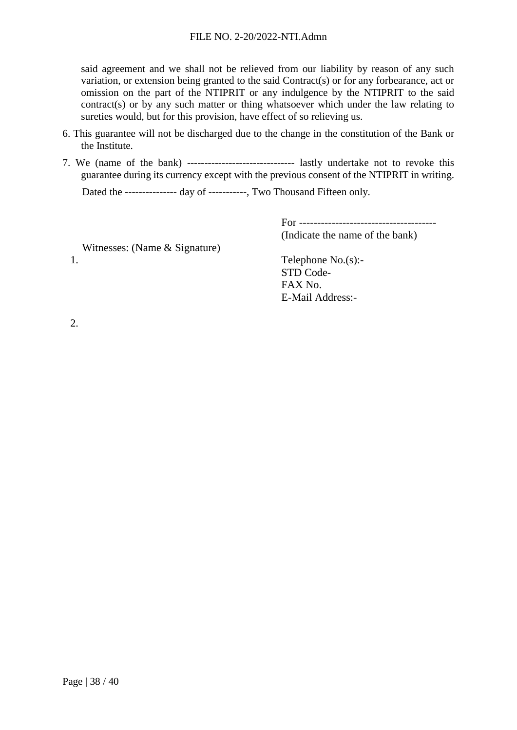said agreement and we shall not be relieved from our liability by reason of any such variation, or extension being granted to the said Contract(s) or for any forbearance, act or omission on the part of the NTIPRIT or any indulgence by the NTIPRIT to the said contract(s) or by any such matter or thing whatsoever which under the law relating to sureties would, but for this provision, have effect of so relieving us.

- 6. This guarantee will not be discharged due to the change in the constitution of the Bank or the Institute.
- 7. We (name of the bank) ------------------------------- lastly undertake not to revoke this guarantee during its currency except with the previous consent of the NTIPRIT in writing.

Dated the --------------- day of -----------, Two Thousand Fifteen only.

For -------------------------------------- (Indicate the name of the bank)

Witnesses: (Name & Signature) 1. Telephone No.(s):-

STD Code-FAX No. E-Mail Address:-

2.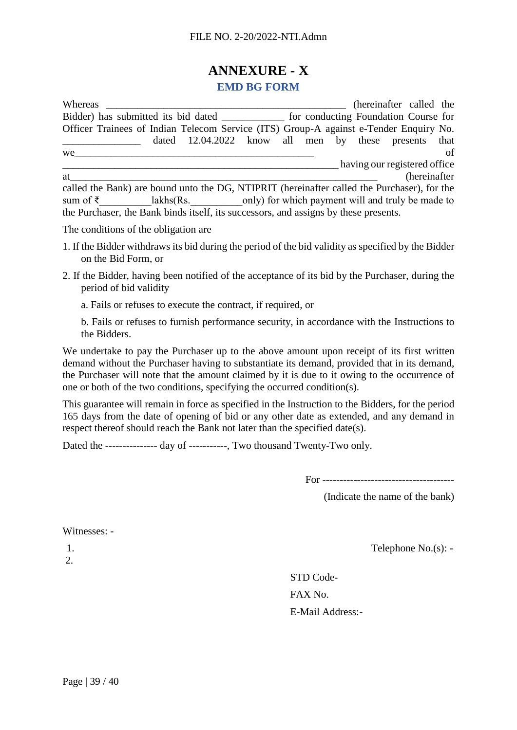# **ANNEXURE - X**

#### **EMD BG FORM**

<span id="page-38-1"></span><span id="page-38-0"></span>

| Whereas                                                                                     |  |                                                              |  |  |                                      | (hereinafter called the      |    |
|---------------------------------------------------------------------------------------------|--|--------------------------------------------------------------|--|--|--------------------------------------|------------------------------|----|
| Bidder) has submitted its bid dated ___________                                             |  |                                                              |  |  | for conducting Foundation Course for |                              |    |
| Officer Trainees of Indian Telecom Service (ITS) Group-A against e-Tender Enquiry No.       |  |                                                              |  |  |                                      |                              |    |
|                                                                                             |  | dated 12.04.2022 know all men by these presents that         |  |  |                                      |                              |    |
| we                                                                                          |  |                                                              |  |  |                                      |                              | of |
|                                                                                             |  |                                                              |  |  |                                      | having our registered office |    |
| at                                                                                          |  |                                                              |  |  |                                      | (hereinafter)                |    |
| called the Bank) are bound unto the DG, NTIPRIT (hereinafter called the Purchaser), for the |  |                                                              |  |  |                                      |                              |    |
| sum of ₹                                                                                    |  | lakhs (Rs. only) for which payment will and truly be made to |  |  |                                      |                              |    |
| the Purchaser, the Bank binds itself, its successors, and assigns by these presents.        |  |                                                              |  |  |                                      |                              |    |

The conditions of the obligation are

- 1. If the Bidder withdraws its bid during the period of the bid validity as specified by the Bidder on the Bid Form, or
- 2. If the Bidder, having been notified of the acceptance of its bid by the Purchaser, during the period of bid validity
	- a. Fails or refuses to execute the contract, if required, or
	- b. Fails or refuses to furnish performance security, in accordance with the Instructions to the Bidders.

We undertake to pay the Purchaser up to the above amount upon receipt of its first written demand without the Purchaser having to substantiate its demand, provided that in its demand, the Purchaser will note that the amount claimed by it is due to it owing to the occurrence of one or both of the two conditions, specifying the occurred condition(s).

This guarantee will remain in force as specified in the Instruction to the Bidders, for the period 165 days from the date of opening of bid or any other date as extended, and any demand in respect thereof should reach the Bank not later than the specified date(s).

Dated the --------------- day of -----------, Two thousand Twenty-Two only.

For --------------------------------------

(Indicate the name of the bank)

Witnesses: -

2.

1. Telephone No.(s): -

STD Code-FAX No. E-Mail Address:-